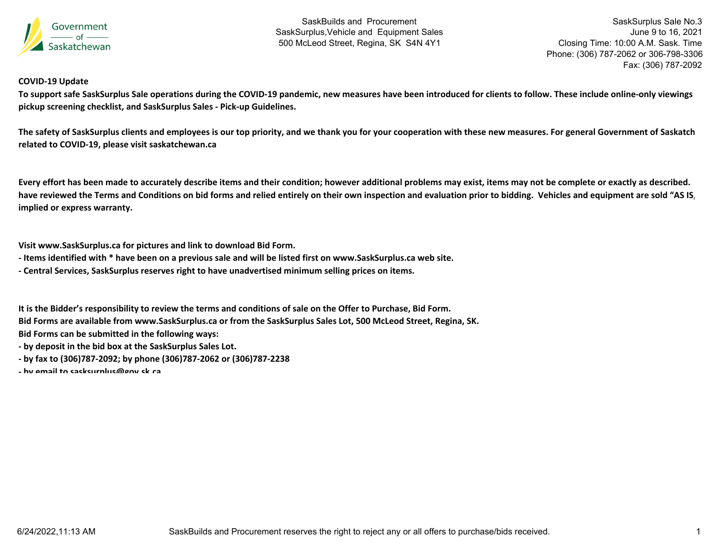

SaskSurplus Sale No.3 June 9 to 16, 2021 Closing Time: 10:00 A.M. Sask. Time Phone: (306) 787-2062 or 306-798-3306 Fax: (306) 787-2092

## **COVID‐19 Update**

To support safe SaskSurplus Sale operations during the COVID-19 pandemic, new measures have been introduced for clients to follow. These include online-only viewings **pickup screening checklist, and SaskSurplus Sales ‐ Pick‐up Guidelines.**

The safety of SaskSurplus clients and employees is our top priority, and we thank you for your cooperation with these new measures. For general Government of Saskatch **related to COVID‐19, please visit saskatchewan.ca**

Every effort has been made to accurately describe items and their condition; however additional problems may exist, items may not be complete or exactly as described. have reviewed the Terms and Conditions on bid forms and relied entirely on their own inspection and evaluation prior to bidding. Vehicles and equipment are sold "AS IS, **implied or express warranty.**

**Visit www.SaskSurplus.ca for pictures and link to download Bid Form.**

- Items identified with \* have been on a previous sale and will be listed first on www.SaskSurplus.ca web site.
- **‐ Central Services, SaskSurplus reserves right to have unadvertised minimum selling prices on items.**

It is the Bidder's responsibility to review the terms and conditions of sale on the Offer to Purchase, Bid Form.

Bid Forms are available from www.SaskSurplus.ca or from the SaskSurplus Sales Lot, 500 McLeod Street, Regina, SK.

**Bid Forms can be submitted in the following ways:**

- **‐ by deposit in the bid box at the SaskSurplus Sales Lot.**
- **‐ by fax to (306)787‐2092; by phone (306)787‐2062 or (306)787‐2238**
- **‐ by email to sasksurplus@gov sk ca**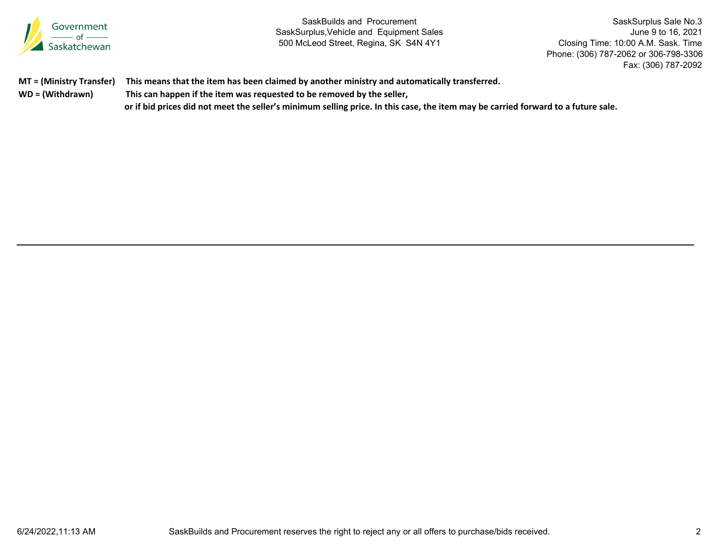

SaskSurplus Sale No.3 June 9 to 16, 2021 Closing Time: 10:00 A.M. Sask. Time Phone: (306) 787-2062 or 306-798-3306 Fax: (306) 787-2092

|                  | MT = (Ministry Transfer) This means that the item has been claimed by another ministry and automatically transferred.         |
|------------------|-------------------------------------------------------------------------------------------------------------------------------|
| WD = (Withdrawn) | This can happen if the item was requested to be removed by the seller,                                                        |
|                  | ومروسيهم والمستحقق والمتسوم وواريوس سوية وبالمرود ونافره المونسوس وسائلت وسيسترس واستواص وبالمتوصوص بعورا والمواسي اونا أناسو |

or if bid prices did not meet the seller's minimum selling price. In this case, the item may be carried forward to a future sale.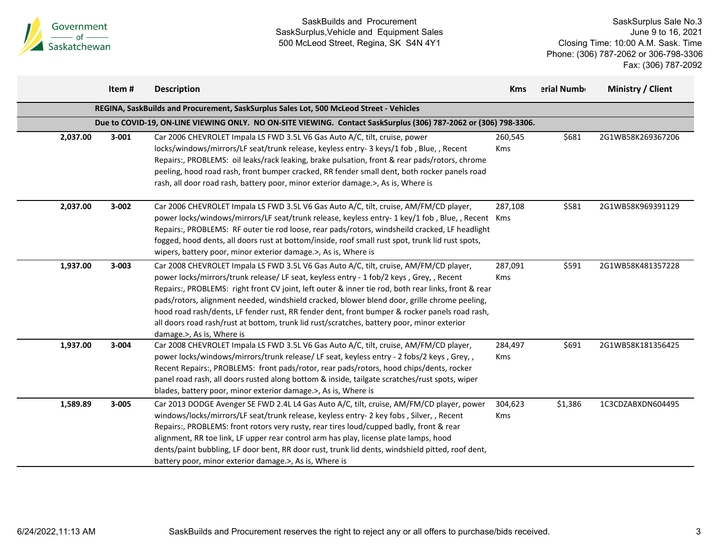

|          | Item #    | <b>Description</b>                                                                                                                                                                                                                                                                                                                                                                                                                                                                                                                                                                                                   | <b>Kms</b>            | erial Numb | Ministry / Client |
|----------|-----------|----------------------------------------------------------------------------------------------------------------------------------------------------------------------------------------------------------------------------------------------------------------------------------------------------------------------------------------------------------------------------------------------------------------------------------------------------------------------------------------------------------------------------------------------------------------------------------------------------------------------|-----------------------|------------|-------------------|
|          |           | REGINA, SaskBuilds and Procurement, SaskSurplus Sales Lot, 500 McLeod Street - Vehicles                                                                                                                                                                                                                                                                                                                                                                                                                                                                                                                              |                       |            |                   |
|          |           | Due to COVID-19, ON-LINE VIEWING ONLY. NO ON-SITE VIEWING. Contact SaskSurplus (306) 787-2062 or (306) 798-3306.                                                                                                                                                                                                                                                                                                                                                                                                                                                                                                     |                       |            |                   |
| 2,037.00 | $3 - 001$ | Car 2006 CHEVROLET Impala LS FWD 3.5L V6 Gas Auto A/C, tilt, cruise, power<br>locks/windows/mirrors/LF seat/trunk release, keyless entry- 3 keys/1 fob, Blue,, Recent<br>Repairs:, PROBLEMS: oil leaks/rack leaking, brake pulsation, front & rear pads/rotors, chrome<br>peeling, hood road rash, front bumper cracked, RR fender small dent, both rocker panels road<br>rash, all door road rash, battery poor, minor exterior damage.>, As is, Where is                                                                                                                                                           | 260,545<br><b>Kms</b> | \$681      | 2G1WB58K269367206 |
| 2,037.00 | $3 - 002$ | Car 2006 CHEVROLET Impala LS FWD 3.5L V6 Gas Auto A/C, tilt, cruise, AM/FM/CD player,<br>power locks/windows/mirrors/LF seat/trunk release, keyless entry- 1 key/1 fob, Blue,, Recent Kms<br>Repairs:, PROBLEMS: RF outer tie rod loose, rear pads/rotors, windsheild cracked, LF headlight<br>fogged, hood dents, all doors rust at bottom/inside, roof small rust spot, trunk lid rust spots,<br>wipers, battery poor, minor exterior damage.>, As is, Where is                                                                                                                                                    | 287,108               | \$581      | 2G1WB58K969391129 |
| 1,937.00 | $3 - 003$ | Car 2008 CHEVROLET Impala LS FWD 3.5L V6 Gas Auto A/C, tilt, cruise, AM/FM/CD player,<br>power locks/mirrors/trunk release/ LF seat, keyless entry - 1 fob/2 keys, Grey, , Recent<br>Repairs:, PROBLEMS: right front CV joint, left outer & inner tie rod, both rear links, front & rear<br>pads/rotors, alignment needed, windshield cracked, blower blend door, grille chrome peeling,<br>hood road rash/dents, LF fender rust, RR fender dent, front bumper & rocker panels road rash,<br>all doors road rash/rust at bottom, trunk lid rust/scratches, battery poor, minor exterior<br>damage.>, As is, Where is | 287,091<br>Kms        | \$591      | 2G1WB58K481357228 |
| 1,937.00 | 3-004     | Car 2008 CHEVROLET Impala LS FWD 3.5L V6 Gas Auto A/C, tilt, cruise, AM/FM/CD player,<br>power locks/windows/mirrors/trunk release/ LF seat, keyless entry - 2 fobs/2 keys, Grey,,<br>Recent Repairs:, PROBLEMS: front pads/rotor, rear pads/rotors, hood chips/dents, rocker<br>panel road rash, all doors rusted along bottom & inside, tailgate scratches/rust spots, wiper<br>blades, battery poor, minor exterior damage.>, As is, Where is                                                                                                                                                                     | 284,497<br>Kms        | \$691      | 2G1WB58K181356425 |
| 1,589.89 | $3 - 005$ | Car 2013 DODGE Avenger SE FWD 2.4L L4 Gas Auto A/C, tilt, cruise, AM/FM/CD player, power<br>windows/locks/mirrors/LF seat/trunk release, keyless entry- 2 key fobs, Silver,, Recent<br>Repairs:, PROBLEMS: front rotors very rusty, rear tires loud/cupped badly, front & rear<br>alignment, RR toe link, LF upper rear control arm has play, license plate lamps, hood<br>dents/paint bubbling, LF door bent, RR door rust, trunk lid dents, windshield pitted, roof dent,<br>battery poor, minor exterior damage.>, As is, Where is                                                                                | 304,623<br>Kms        | \$1,386    | 1C3CDZABXDN604495 |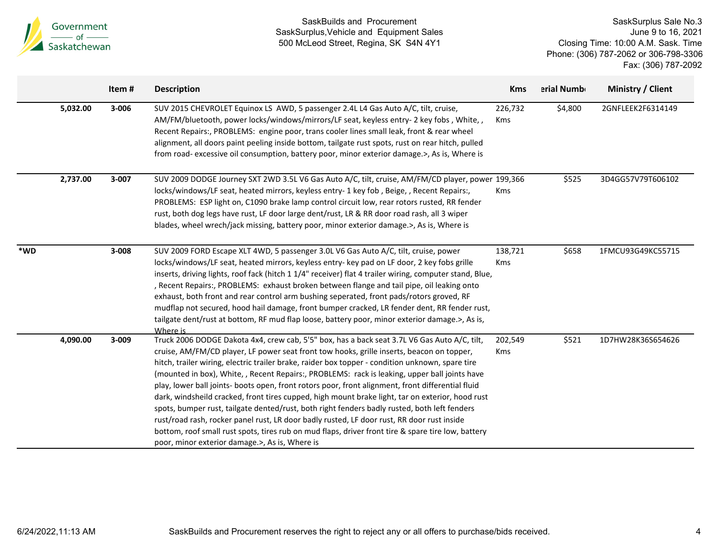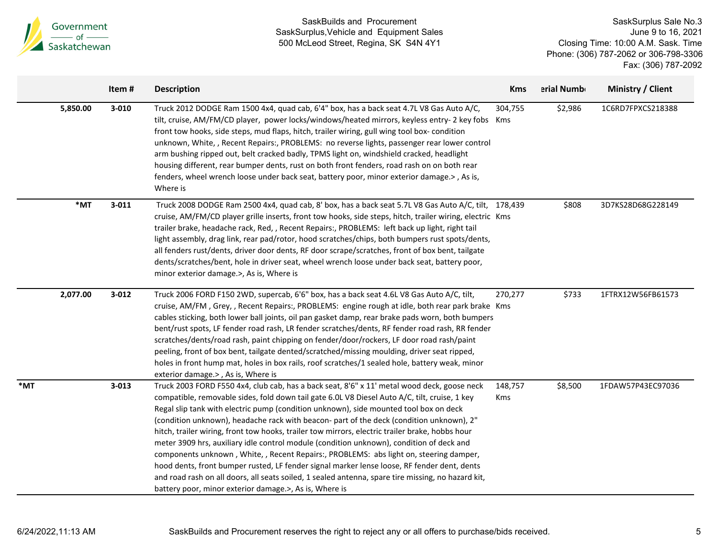| Government<br>of<br>Saskatchewan |           | SaskBuilds and Procurement<br>SaskSurplus, Vehicle and Equipment Sales<br>500 McLeod Street, Regina, SK S4N 4Y1                                                                                                                                                                                                                                                                                                                                                                                                                                                                                                                                                                                                                                                                                                                                                                                                                          |                       |            | SaskSurplus Sale No.3<br>June 9 to 16, 2021<br>Closing Time: 10:00 A.M. Sask. Time<br>Phone: (306) 787-2062 or 306-798-3306<br>Fax: (306) 787-2092 |  |  |
|----------------------------------|-----------|------------------------------------------------------------------------------------------------------------------------------------------------------------------------------------------------------------------------------------------------------------------------------------------------------------------------------------------------------------------------------------------------------------------------------------------------------------------------------------------------------------------------------------------------------------------------------------------------------------------------------------------------------------------------------------------------------------------------------------------------------------------------------------------------------------------------------------------------------------------------------------------------------------------------------------------|-----------------------|------------|----------------------------------------------------------------------------------------------------------------------------------------------------|--|--|
|                                  | Item#     | <b>Description</b>                                                                                                                                                                                                                                                                                                                                                                                                                                                                                                                                                                                                                                                                                                                                                                                                                                                                                                                       | <b>Kms</b>            | erial Numb | Ministry / Client                                                                                                                                  |  |  |
| 5,850.00                         | $3 - 010$ | Truck 2012 DODGE Ram 1500 4x4, quad cab, 6'4" box, has a back seat 4.7L V8 Gas Auto A/C,<br>tilt, cruise, AM/FM/CD player, power locks/windows/heated mirrors, keyless entry- 2 key fobs Kms<br>front tow hooks, side steps, mud flaps, hitch, trailer wiring, gull wing tool box-condition<br>unknown, White, , Recent Repairs:, PROBLEMS: no reverse lights, passenger rear lower control<br>arm bushing ripped out, belt cracked badly, TPMS light on, windshield cracked, headlight<br>housing different, rear bumper dents, rust on both front fenders, road rash on on both rear<br>fenders, wheel wrench loose under back seat, battery poor, minor exterior damage.>, As is,<br>Where is                                                                                                                                                                                                                                         | 304,755               | \$2,986    | 1C6RD7FPXCS218388                                                                                                                                  |  |  |
| *MT                              | $3 - 011$ | Truck 2008 DODGE Ram 2500 4x4, quad cab, 8' box, has a back seat 5.7L V8 Gas Auto A/C, tilt, 178,439<br>cruise, AM/FM/CD player grille inserts, front tow hooks, side steps, hitch, trailer wiring, electric Kms<br>trailer brake, headache rack, Red, , Recent Repairs:, PROBLEMS: left back up light, right tail<br>light assembly, drag link, rear pad/rotor, hood scratches/chips, both bumpers rust spots/dents,<br>all fenders rust/dents, driver door dents, RF door scrape/scratches, front of box bent, tailgate<br>dents/scratches/bent, hole in driver seat, wheel wrench loose under back seat, battery poor,<br>minor exterior damage.>, As is, Where is                                                                                                                                                                                                                                                                    |                       | \$808      | 3D7KS28D68G228149                                                                                                                                  |  |  |
| 2,077.00                         | $3 - 012$ | Truck 2006 FORD F150 2WD, supercab, 6'6" box, has a back seat 4.6L V8 Gas Auto A/C, tilt,<br>cruise, AM/FM, Grey,, Recent Repairs:, PROBLEMS: engine rough at idle, both rear park brake Kms<br>cables sticking, both lower ball joints, oil pan gasket damp, rear brake pads worn, both bumpers<br>bent/rust spots, LF fender road rash, LR fender scratches/dents, RF fender road rash, RR fender<br>scratches/dents/road rash, paint chipping on fender/door/rockers, LF door road rash/paint<br>peeling, front of box bent, tailgate dented/scratched/missing moulding, driver seat ripped,<br>holes in front hump mat, holes in box rails, roof scratches/1 sealed hole, battery weak, minor<br>exterior damage.>, As is, Where is                                                                                                                                                                                                  | 270,277               | \$733      | 1FTRX12W56FB61573                                                                                                                                  |  |  |
| *MT                              | $3 - 013$ | Truck 2003 FORD F550 4x4, club cab, has a back seat, 8'6" x 11' metal wood deck, goose neck<br>compatible, removable sides, fold down tail gate 6.0L V8 Diesel Auto A/C, tilt, cruise, 1 key<br>Regal slip tank with electric pump (condition unknown), side mounted tool box on deck<br>(condition unknown), headache rack with beacon- part of the deck (condition unknown), 2"<br>hitch, trailer wiring, front tow hooks, trailer tow mirrors, electric trailer brake, hobbs hour<br>meter 3909 hrs, auxiliary idle control module (condition unknown), condition of deck and<br>components unknown, White,, Recent Repairs:, PROBLEMS: abs light on, steering damper,<br>hood dents, front bumper rusted, LF fender signal marker lense loose, RF fender dent, dents<br>and road rash on all doors, all seats soiled, 1 sealed antenna, spare tire missing, no hazard kit,<br>battery poor, minor exterior damage.>, As is, Where is | 148,757<br><b>Kms</b> | \$8,500    | 1FDAW57P43EC97036                                                                                                                                  |  |  |

SaskBuilds and Procurement

**A** 

SaskSurplus Sale No.3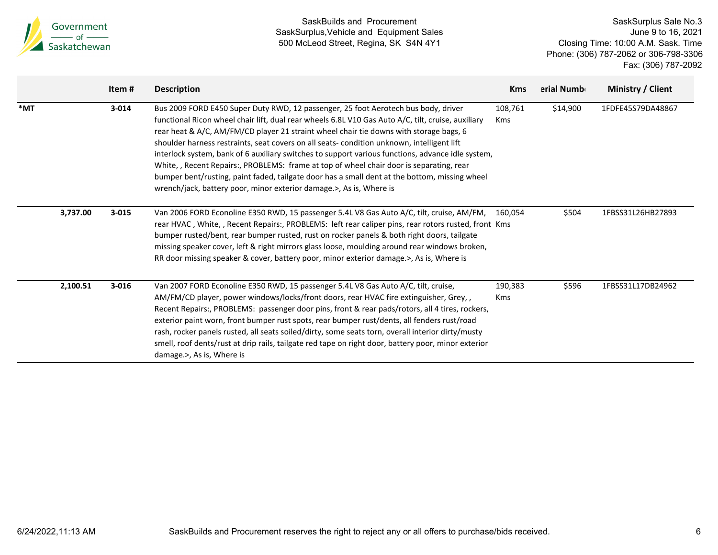|     | Government<br>$\frac{1}{\sqrt{1-\frac{1}{1-\frac{1}{1-\frac{1}{1-\frac{1}{1-\frac{1}{1-\frac{1}{1-\frac{1}{1-\frac{1}{1-\frac{1}{1-\frac{1}{1-\frac{1}{1-\frac{1}{1-\frac{1}{1-\frac{1}{1-\frac{1}{1-\frac{1}{1-\frac{1}{1-\frac{1}{1-\frac{1}{1-\frac{1}{1-\frac{1}{1-\frac{1}{1-\frac{1}{1-\frac{1}{1-\frac{1}{1-\frac{1}{1-\frac{1}{1-\frac{1}{1-\frac{1}{1-\frac{1}{1-\frac{1}{1-\frac{1}{1-\frac{1}{1-\frac{1}{1-\frac{1}{1-\$ |           | SaskBuilds and Procurement<br>SaskSurplus, Vehicle and Equipment Sales<br>500 McLeod Street, Regina, SK S4N 4Y1                                                                                                                                                                                                                                                                                                                                                                                                                                                                                                                                                                                                                                           |                       | SaskSurplus Sale No.3<br>June 9 to 16, 2021<br>Closing Time: 10:00 A.M. Sask. Time<br>Phone: (306) 787-2062 or 306-798-3306<br>Fax: (306) 787-2092 |                   |  |
|-----|-------------------------------------------------------------------------------------------------------------------------------------------------------------------------------------------------------------------------------------------------------------------------------------------------------------------------------------------------------------------------------------------------------------------------------------|-----------|-----------------------------------------------------------------------------------------------------------------------------------------------------------------------------------------------------------------------------------------------------------------------------------------------------------------------------------------------------------------------------------------------------------------------------------------------------------------------------------------------------------------------------------------------------------------------------------------------------------------------------------------------------------------------------------------------------------------------------------------------------------|-----------------------|----------------------------------------------------------------------------------------------------------------------------------------------------|-------------------|--|
|     |                                                                                                                                                                                                                                                                                                                                                                                                                                     | Item#     | <b>Description</b>                                                                                                                                                                                                                                                                                                                                                                                                                                                                                                                                                                                                                                                                                                                                        | <b>Kms</b>            | erial Numb                                                                                                                                         | Ministry / Client |  |
| *MT |                                                                                                                                                                                                                                                                                                                                                                                                                                     | $3 - 014$ | Bus 2009 FORD E450 Super Duty RWD, 12 passenger, 25 foot Aerotech bus body, driver<br>functional Ricon wheel chair lift, dual rear wheels 6.8L V10 Gas Auto A/C, tilt, cruise, auxiliary<br>rear heat & A/C, AM/FM/CD player 21 straint wheel chair tie downs with storage bags, 6<br>shoulder harness restraints, seat covers on all seats- condition unknown, intelligent lift<br>interlock system, bank of 6 auxiliary switches to support various functions, advance idle system,<br>White, , Recent Repairs:, PROBLEMS: frame at top of wheel chair door is separating, rear<br>bumper bent/rusting, paint faded, tailgate door has a small dent at the bottom, missing wheel<br>wrench/jack, battery poor, minor exterior damage.>, As is, Where is | 108,761<br><b>Kms</b> | \$14,900                                                                                                                                           | 1FDFE45S79DA48867 |  |
|     | 3,737.00                                                                                                                                                                                                                                                                                                                                                                                                                            | $3 - 015$ | Van 2006 FORD Econoline E350 RWD, 15 passenger 5.4L V8 Gas Auto A/C, tilt, cruise, AM/FM,<br>rear HVAC, White,, Recent Repairs:, PROBLEMS: left rear caliper pins, rear rotors rusted, front Kms<br>bumper rusted/bent, rear bumper rusted, rust on rocker panels & both right doors, tailgate<br>missing speaker cover, left & right mirrors glass loose, moulding around rear windows broken,<br>RR door missing speaker & cover, battery poor, minor exterior damage.>, As is, Where is                                                                                                                                                                                                                                                                | 160,054               | \$504                                                                                                                                              | 1FBSS31L26HB27893 |  |
|     | 2,100.51                                                                                                                                                                                                                                                                                                                                                                                                                            | $3 - 016$ | Van 2007 FORD Econoline E350 RWD, 15 passenger 5.4L V8 Gas Auto A/C, tilt, cruise,<br>AM/FM/CD player, power windows/locks/front doors, rear HVAC fire extinguisher, Grey,,<br>Recent Repairs:, PROBLEMS: passenger door pins, front & rear pads/rotors, all 4 tires, rockers,<br>exterior paint worn, front bumper rust spots, rear bumper rust/dents, all fenders rust/road<br>rash, rocker panels rusted, all seats soiled/dirty, some seats torn, overall interior dirty/musty<br>smell, roof dents/rust at drip rails, tailgate red tape on right door, battery poor, minor exterior<br>damage.>, As is, Where is                                                                                                                                    | 190,383<br><b>Kms</b> | \$596                                                                                                                                              | 1FBSS31L17DB24962 |  |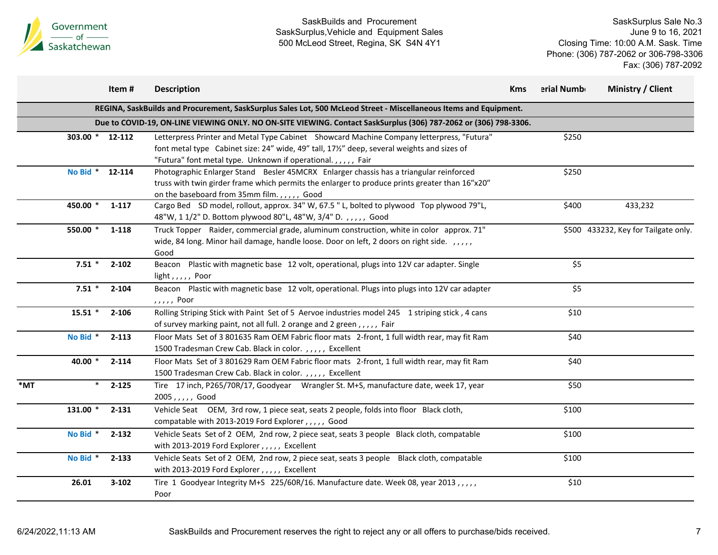

|     |                 | Item#     | <b>Description</b>                                                                                                                                                                                                                                    | <b>Kms</b> | erial Numb | Ministry / Client                    |
|-----|-----------------|-----------|-------------------------------------------------------------------------------------------------------------------------------------------------------------------------------------------------------------------------------------------------------|------------|------------|--------------------------------------|
|     |                 |           | REGINA, SaskBuilds and Procurement, SaskSurplus Sales Lot, 500 McLeod Street - Miscellaneous Items and Equipment.                                                                                                                                     |            |            |                                      |
|     |                 |           | Due to COVID-19, ON-LINE VIEWING ONLY. NO ON-SITE VIEWING. Contact SaskSurplus (306) 787-2062 or (306) 798-3306.                                                                                                                                      |            |            |                                      |
|     | 303.00 * 12-112 |           | Letterpress Printer and Metal Type Cabinet Showcard Machine Company letterpress, "Futura"<br>font metal type Cabinet size: 24" wide, 49" tall, 17½" deep, several weights and sizes of<br>"Futura" font metal type. Unknown if operational.,,,,, Fair |            | \$250      |                                      |
|     | No Bid * 12-114 |           | Photographic Enlarger Stand Besler 45MCRX Enlarger chassis has a triangular reinforced<br>truss with twin girder frame which permits the enlarger to produce prints greater than 16"x20"<br>on the baseboard from 35mm film.,,,,, Good                |            | \$250      |                                      |
|     | 450.00 *        | 1-117     | Cargo Bed SD model, rollout, approx. 34" W, 67.5 " L, bolted to plywood Top plywood 79"L,<br>48"W, 1 1/2" D. Bottom plywood 80"L, 48"W, 3/4" D.,,,,, Good                                                                                             |            | \$400      | 433,232                              |
|     | 550.00 *        | 1-118     | Truck Topper Raider, commercial grade, aluminum construction, white in color approx. 71"<br>wide, 84 long. Minor hail damage, handle loose. Door on left, 2 doors on right side. ,,,,,<br>Good                                                        |            |            | \$500 433232, Key for Tailgate only. |
|     | $7.51$ *        | $2 - 102$ | Beacon Plastic with magnetic base 12 volt, operational, plugs into 12V car adapter. Single<br>light,,,,, Poor                                                                                                                                         |            | \$5        |                                      |
|     | $7.51*$         | $2 - 104$ | Beacon Plastic with magnetic base 12 volt, operational. Plugs into plugs into 12V car adapter<br>,,,,, Poor                                                                                                                                           |            | \$5        |                                      |
|     | $15.51$ *       | $2 - 106$ | Rolling Striping Stick with Paint Set of 5 Aervoe industries model 245 1 striping stick, 4 cans<br>of survey marking paint, not all full. 2 orange and 2 green,,,,, Fair                                                                              |            | \$10       |                                      |
|     | No Bid *        | $2 - 113$ | Floor Mats Set of 3 801635 Ram OEM Fabric floor mats 2-front, 1 full width rear, may fit Ram<br>1500 Tradesman Crew Cab. Black in color.,,,,, Excellent                                                                                               |            | \$40       |                                      |
|     | 40.00 *         | $2 - 114$ | Floor Mats Set of 3 801629 Ram OEM Fabric floor mats 2-front, 1 full width rear, may fit Ram<br>1500 Tradesman Crew Cab. Black in color.,,,,, Excellent                                                                                               |            | \$40       |                                      |
| *MT | $\ast$          | $2 - 125$ | Tire 17 inch, P265/70R/17, Goodyear Wrangler St. M+S, manufacture date, week 17, year<br>2005,,,,, Good                                                                                                                                               |            | \$50       |                                      |
|     | 131.00 *        | $2 - 131$ | Vehicle Seat OEM, 3rd row, 1 piece seat, seats 2 people, folds into floor Black cloth,<br>compatable with 2013-2019 Ford Explorer,,,,, Good                                                                                                           |            | \$100      |                                      |
|     | No Bid *        | $2 - 132$ | Vehicle Seats Set of 2 OEM, 2nd row, 2 piece seat, seats 3 people Black cloth, compatable<br>with 2013-2019 Ford Explorer,,,,, Excellent                                                                                                              |            | \$100      |                                      |
|     | No Bid *        | $2 - 133$ | Vehicle Seats Set of 2 OEM, 2nd row, 2 piece seat, seats 3 people Black cloth, compatable<br>with 2013-2019 Ford Explorer,,,,, Excellent                                                                                                              |            | \$100      |                                      |
|     | 26.01           | $3 - 102$ | Tire 1 Goodyear Integrity M+S 225/60R/16. Manufacture date. Week 08, year 2013,,,,,<br>Poor                                                                                                                                                           |            | \$10       |                                      |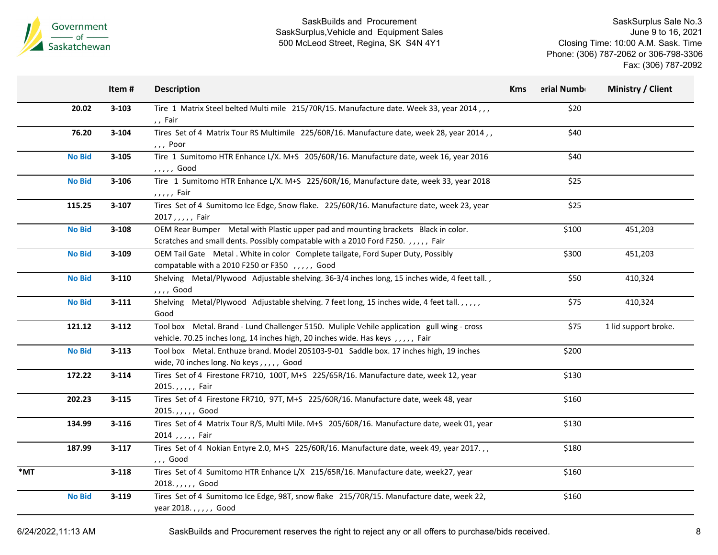

SaskSurplus Sale No.3 June 9 to 16, 2021 Closing Time: 10:00 A.M. Sask. Time Phone: (306) 787-2062 or 306-798-3306 Fax: (306) 787-2092

|     |               | Item#     | <b>Description</b>                                                                                                                                                             | <b>Kms</b> | erial Numb | Ministry / Client    |
|-----|---------------|-----------|--------------------------------------------------------------------------------------------------------------------------------------------------------------------------------|------------|------------|----------------------|
|     | 20.02         | $3 - 103$ | Tire 1 Matrix Steel belted Multi mile 215/70R/15. Manufacture date. Week 33, year 2014,,,<br>,, Fair                                                                           |            | \$20       |                      |
|     | 76.20         | 3-104     | Tires Set of 4 Matrix Tour RS Multimile 225/60R/16. Manufacture date, week 28, year 2014,,<br>, , , Poor                                                                       |            | \$40       |                      |
|     | <b>No Bid</b> | $3 - 105$ | Tire 1 Sumitomo HTR Enhance L/X. M+S 205/60R/16. Manufacture date, week 16, year 2016<br>, , , , , Good                                                                        |            | \$40       |                      |
|     | <b>No Bid</b> | 3-106     | Tire 1 Sumitomo HTR Enhance L/X. M+S 225/60R/16, Manufacture date, week 33, year 2018<br>,,,,, Fair                                                                            |            | \$25       |                      |
|     | 115.25        | $3-107$   | Tires Set of 4 Sumitomo Ice Edge, Snow flake. 225/60R/16. Manufacture date, week 23, year<br>2017,,,,, Fair                                                                    |            | \$25       |                      |
|     | <b>No Bid</b> | $3 - 108$ | OEM Rear Bumper Metal with Plastic upper pad and mounting brackets Black in color.<br>Scratches and small dents. Possibly compatable with a 2010 Ford F250. ,,,,, Fair         |            | \$100      | 451,203              |
|     | <b>No Bid</b> | $3 - 109$ | OEM Tail Gate Metal . White in color Complete tailgate, Ford Super Duty, Possibly<br>compatable with a 2010 F250 or F350 , , , , , Good                                        |            | \$300      | 451,203              |
|     | <b>No Bid</b> | $3-110$   | Shelving Metal/Plywood Adjustable shelving. 36-3/4 inches long, 15 inches wide, 4 feet tall.,<br>,,,, Good                                                                     |            | \$50       | 410,324              |
|     | <b>No Bid</b> | $3 - 111$ | Shelving Metal/Plywood Adjustable shelving. 7 feet long, 15 inches wide, 4 feet tall.,,,,,<br>Good                                                                             |            | \$75       | 410,324              |
|     | 121.12        | $3 - 112$ | Tool box Metal. Brand - Lund Challenger 5150. Muliple Vehile application gull wing - cross<br>vehicle. 70.25 inches long, 14 inches high, 20 inches wide. Has keys, ,,,,, Fair |            | \$75       | 1 lid support broke. |
|     | <b>No Bid</b> | $3 - 113$ | Tool box Metal. Enthuze brand. Model 205103-9-01 Saddle box. 17 inches high, 19 inches<br>wide, 70 inches long. No keys,,,,,, Good                                             |            | \$200      |                      |
|     | 172.22        | $3 - 114$ | Tires Set of 4 Firestone FR710, 100T, M+S 225/65R/16. Manufacture date, week 12, year<br>2015.,,,,, Fair                                                                       |            | \$130      |                      |
|     | 202.23        | $3 - 115$ | Tires Set of 4 Firestone FR710, 97T, M+S 225/60R/16. Manufacture date, week 48, year<br>2015.,,,,, Good                                                                        |            | \$160      |                      |
|     | 134.99        | $3 - 116$ | Tires Set of 4 Matrix Tour R/S, Multi Mile. M+S 205/60R/16. Manufacture date, week 01, year<br>2014 , , , , , Fair                                                             |            | \$130      |                      |
|     | 187.99        | $3-117$   | Tires Set of 4 Nokian Entyre 2.0, M+S 225/60R/16. Manufacture date, week 49, year 2017.,,<br>,,, Good                                                                          |            | \$180      |                      |
| *MT |               | $3 - 118$ | Tires Set of 4 Sumitomo HTR Enhance L/X 215/65R/16. Manufacture date, week27, year<br>2018.,,,,, Good                                                                          |            | \$160      |                      |
|     | <b>No Bid</b> | $3 - 119$ | Tires Set of 4 Sumitomo Ice Edge, 98T, snow flake 215/70R/15. Manufacture date, week 22,<br>year 2018.,,,,, Good                                                               |            | \$160      |                      |

6/24/2022,11:13 AM SaskBuilds and Procurement reserves the right to reject any or all offers to purchase/bids received. 8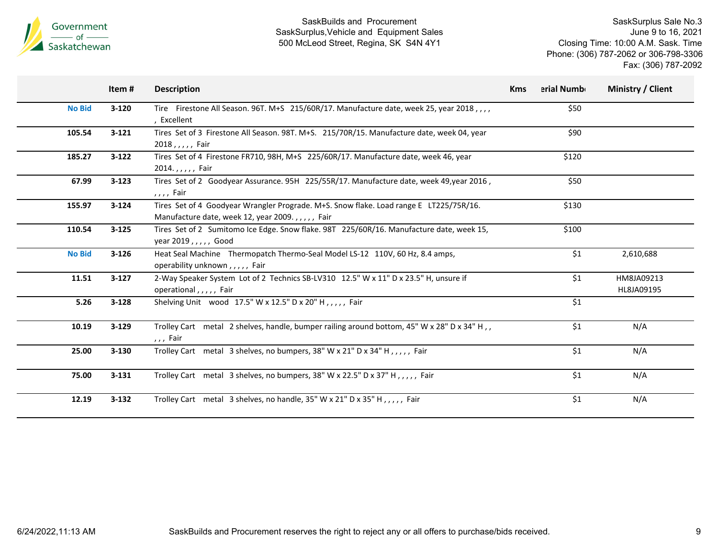

|               | Item#     | <b>Description</b>                                                                                                                        | <b>Kms</b> | erial Numb | Ministry / Client        |
|---------------|-----------|-------------------------------------------------------------------------------------------------------------------------------------------|------------|------------|--------------------------|
| <b>No Bid</b> | $3-120$   | Tire Firestone All Season. 96T. M+S 215/60R/17. Manufacture date, week 25, year 2018,,,,<br>, Excellent                                   |            | \$50       |                          |
| 105.54        | $3 - 121$ | Tires Set of 3 Firestone All Season. 98T. M+S. 215/70R/15. Manufacture date, week 04, year<br>2018, $, \, \,$ , Fair                      |            | \$90       |                          |
| 185.27        | $3-122$   | Tires Set of 4 Firestone FR710, 98H, M+S 225/60R/17. Manufacture date, week 46, year<br>2014.,,,,, Fair                                   |            | \$120      |                          |
| 67.99         | $3 - 123$ | Tires Set of 2 Goodyear Assurance. 95H 225/55R/17. Manufacture date, week 49, year 2016,<br>,,,, Fair                                     |            | \$50       |                          |
| 155.97        | $3 - 124$ | Tires Set of 4 Goodyear Wrangler Prograde. M+S. Snow flake. Load range E LT225/75R/16.<br>Manufacture date, week 12, year 2009.,,,,, Fair |            | \$130      |                          |
| 110.54        | $3 - 125$ | Tires Set of 2 Sumitomo Ice Edge. Snow flake. 98T 225/60R/16. Manufacture date, week 15,<br>year 2019, $, , , ,$ Good                     |            | \$100      |                          |
| <b>No Bid</b> | $3 - 126$ | Heat Seal Machine Thermopatch Thermo-Seal Model LS-12 110V, 60 Hz, 8.4 amps,<br>operability unknown,,,,,, Fair                            |            | \$1        | 2,610,688                |
| 11.51         | $3-127$   | 2-Way Speaker System Lot of 2 Technics SB-LV310 12.5" W x 11" D x 23.5" H, unsure if<br>operational,,,,, Fair                             |            | \$1        | HM8JA09213<br>HL8JA09195 |
| 5.26          | $3 - 128$ | Shelving Unit wood 17.5" W x 12.5" D x 20" H,,,,, Fair                                                                                    |            | \$1        |                          |
| 10.19         | $3 - 129$ | Trolley Cart metal 2 shelves, handle, bumper railing around bottom, 45" W x 28" D x 34" H,,<br>,,, Fair                                   |            | \$1        | N/A                      |
| 25.00         | $3 - 130$ | Trolley Cart metal 3 shelves, no bumpers, 38" W x 21" D x 34" H, ,,,, Fair                                                                |            | \$1        | N/A                      |
| 75.00         | $3 - 131$ | Trolley Cart metal 3 shelves, no bumpers, 38" W x 22.5" D x 37" H,,,,, Fair                                                               |            | \$1        | N/A                      |
| 12.19         | $3 - 132$ | Trolley Cart metal 3 shelves, no handle, 35" W x 21" D x 35" H, ,,,, Fair                                                                 |            | \$1        | N/A                      |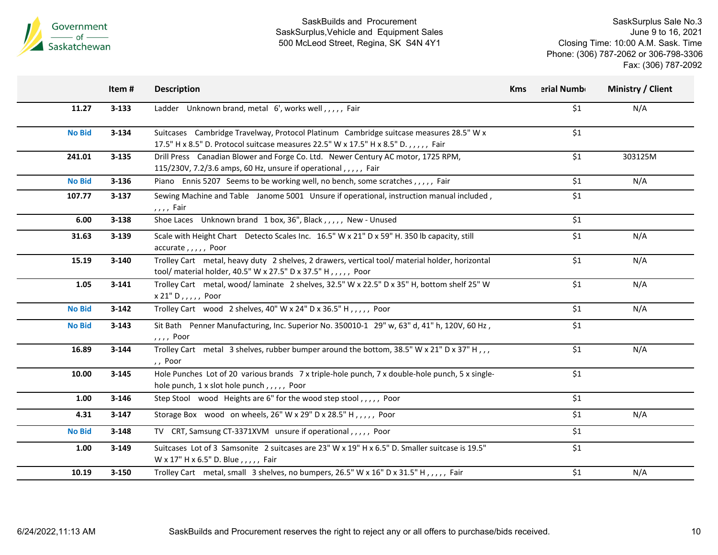

|               | Item#     | <b>Description</b>                                                                                                                                                           | <b>Kms</b> | erial Numb | Ministry / Client |
|---------------|-----------|------------------------------------------------------------------------------------------------------------------------------------------------------------------------------|------------|------------|-------------------|
| 11.27         | $3 - 133$ | Ladder Unknown brand, metal 6', works well,,,,, Fair                                                                                                                         |            | \$1        | N/A               |
| <b>No Bid</b> | $3 - 134$ | Suitcases Cambridge Travelway, Protocol Platinum Cambridge suitcase measures 28.5" W x<br>17.5" H x 8.5" D. Protocol suitcase measures 22.5" W x 17.5" H x 8.5" D.,,,,, Fair |            | \$1        |                   |
| 241.01        | $3 - 135$ | Drill Press Canadian Blower and Forge Co. Ltd. Newer Century AC motor, 1725 RPM,<br>115/230V, 7.2/3.6 amps, 60 Hz, unsure if operational, , , , , Fair                       |            | \$1        | 303125M           |
| <b>No Bid</b> | $3 - 136$ | Piano Ennis 5207 Seems to be working well, no bench, some scratches,,,,, Fair                                                                                                |            | \$1        | N/A               |
| 107.77        | $3 - 137$ | Sewing Machine and Table Janome 5001 Unsure if operational, instruction manual included,<br>,,,, Fair                                                                        |            | \$1        |                   |
| 6.00          | $3 - 138$ | Shoe Laces Unknown brand 1 box, 36", Black,,,,,, New - Unused                                                                                                                |            | \$1        |                   |
| 31.63         | 3-139     | Scale with Height Chart Detecto Scales Inc. 16.5" W x 21" D x 59" H. 350 lb capacity, still<br>accurate,,,,, Poor                                                            |            | \$1        | N/A               |
| 15.19         | 3-140     | Trolley Cart metal, heavy duty 2 shelves, 2 drawers, vertical tool/material holder, horizontal<br>tool/ material holder, 40.5" W x 27.5" D x 37.5" H,,,,,, Poor              |            | \$1        | N/A               |
| 1.05          | $3 - 141$ | Trolley Cart metal, wood/laminate 2 shelves, 32.5" W x 22.5" D x 35" H, bottom shelf 25" W<br>$x 21" D, , , , ,$ Poor                                                        |            | \$1        | N/A               |
| <b>No Bid</b> | $3 - 142$ | Trolley Cart wood 2 shelves, 40" W x 24" D x 36.5" H, , , , , Poor                                                                                                           |            | \$1        | N/A               |
| <b>No Bid</b> | $3 - 143$ | Sit Bath Penner Manufacturing, Inc. Superior No. 350010-1 29" w, 63" d, 41" h, 120V, 60 Hz,<br>, , , , Poor                                                                  |            | \$1        |                   |
| 16.89         | $3 - 144$ | Trolley Cart metal 3 shelves, rubber bumper around the bottom, 38.5" W x 21" D x 37" H,,,<br>,, Poor                                                                         |            | \$1        | N/A               |
| 10.00         | $3 - 145$ | Hole Punches Lot of 20 various brands 7 x triple-hole punch, 7 x double-hole punch, 5 x single-<br>hole punch, 1 x slot hole punch, , , , , Poor                             |            | \$1        |                   |
| 1.00          | $3 - 146$ | Step Stool wood Heights are 6" for the wood step stool,,,,, Poor                                                                                                             |            | \$1        |                   |
| 4.31          | $3-147$   | Storage Box wood on wheels, 26" W x 29" D x 28.5" H, , , , , Poor                                                                                                            |            | \$1        | N/A               |
| <b>No Bid</b> | $3 - 148$ | TV CRT, Samsung CT-3371XVM unsure if operational,,,,, Poor                                                                                                                   |            | \$1        |                   |
| 1.00          | $3 - 149$ | Suitcases Lot of 3 Samsonite 2 suitcases are 23" W x 19" H x 6.5" D. Smaller suitcase is 19.5"<br>W x 17" H x 6.5" D. Blue,,,,, Fair                                         |            | \$1        |                   |
| 10.19         | 3-150     | Trolley Cart metal, small 3 shelves, no bumpers, 26.5" W x 16" D x 31.5" H,,,,, Fair                                                                                         |            | \$1        | N/A               |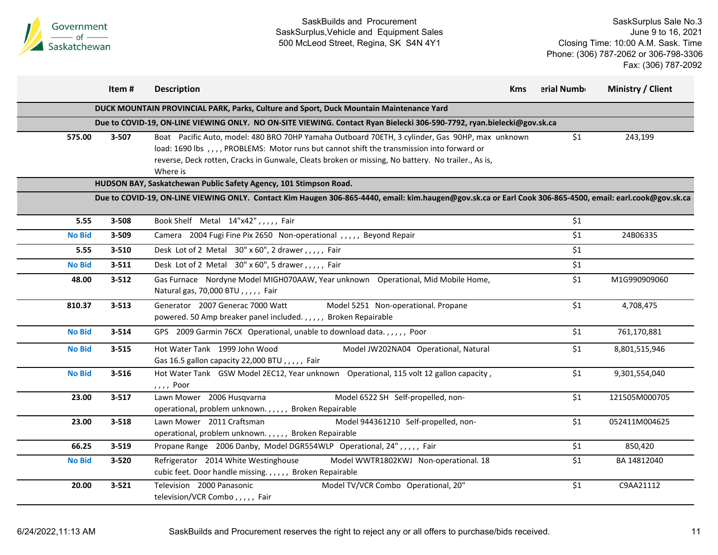

|               | Item#     | <b>Description</b>                                                                                                                                                                                                                                                                                                 | <b>Kms</b> | erial Numb | Ministry / Client |
|---------------|-----------|--------------------------------------------------------------------------------------------------------------------------------------------------------------------------------------------------------------------------------------------------------------------------------------------------------------------|------------|------------|-------------------|
|               |           | DUCK MOUNTAIN PROVINCIAL PARK, Parks, Culture and Sport, Duck Mountain Maintenance Yard                                                                                                                                                                                                                            |            |            |                   |
|               |           | Due to COVID-19, ON-LINE VIEWING ONLY. NO ON-SITE VIEWING. Contact Ryan Bielecki 306-590-7792, ryan.bielecki@gov.sk.ca                                                                                                                                                                                             |            |            |                   |
| 575.00        | 3-507     | Boat Pacific Auto, model: 480 BRO 70HP Yamaha Outboard 70ETH, 3 cylinder, Gas 90HP, max unknown<br>load: 1690 lbs , , , , PROBLEMS: Motor runs but cannot shift the transmission into forward or<br>reverse, Deck rotten, Cracks in Gunwale, Cleats broken or missing, No battery. No trailer., As is,<br>Where is |            | \$1        | 243,199           |
|               |           | HUDSON BAY, Saskatchewan Public Safety Agency, 101 Stimpson Road.                                                                                                                                                                                                                                                  |            |            |                   |
|               |           | Due to COVID-19, ON-LINE VIEWING ONLY. Contact Kim Haugen 306-865-4440, email: kim.haugen@gov.sk.ca or Earl Cook 306-865-4500, email: earl.cook@gov.sk.ca                                                                                                                                                          |            |            |                   |
| 5.55          | 3-508     | Book Shelf Metal 14"x42",,,,, Fair                                                                                                                                                                                                                                                                                 |            | \$1        |                   |
| <b>No Bid</b> | 3-509     | Camera 2004 Fugi Fine Pix 2650 Non-operational,,,,, Beyond Repair                                                                                                                                                                                                                                                  |            | \$1        | 24B06335          |
| 5.55          | 3-510     | Desk Lot of 2 Metal 30" x 60", 2 drawer, , , , , Fair                                                                                                                                                                                                                                                              |            | \$1        |                   |
| <b>No Bid</b> | $3 - 511$ | Desk Lot of 2 Metal 30" x 60", 5 drawer, , , , , Fair                                                                                                                                                                                                                                                              |            | \$1        |                   |
| 48.00         | $3 - 512$ | Gas Furnace Nordyne Model MIGH070AAW, Year unknown Operational, Mid Mobile Home,<br>Natural gas, 70,000 BTU,,,,, Fair                                                                                                                                                                                              |            | \$1        | M1G990909060      |
| 810.37        | $3 - 513$ | Generator 2007 Generac 7000 Watt<br>Model 5251 Non-operational. Propane<br>powered. 50 Amp breaker panel included.,,,,,, Broken Repairable                                                                                                                                                                         |            | \$1        | 4,708,475         |
| <b>No Bid</b> | $3 - 514$ | GPS 2009 Garmin 76CX Operational, unable to download data.,,,,, Poor                                                                                                                                                                                                                                               |            | \$1        | 761,170,881       |
| <b>No Bid</b> | $3 - 515$ | Hot Water Tank 1999 John Wood<br>Model JW202NA04 Operational, Natural<br>Gas 16.5 gallon capacity 22,000 BTU,,,,, Fair                                                                                                                                                                                             |            | \$1        | 8,801,515,946     |
| <b>No Bid</b> | $3 - 516$ | Hot Water Tank GSW Model 2EC12, Year unknown Operational, 115 volt 12 gallon capacity,<br>,,,, Poor                                                                                                                                                                                                                |            | \$1        | 9,301,554,040     |
| 23.00         | $3 - 517$ | Lawn Mower 2006 Husqvarna<br>Model 6522 SH Self-propelled, non-<br>operational, problem unknown.,,,,, Broken Repairable                                                                                                                                                                                            |            | \$1        | 121505M000705     |
| 23.00         | $3 - 518$ | Lawn Mower 2011 Craftsman<br>Model 944361210 Self-propelled, non-<br>operational, problem unknown.,,,,, Broken Repairable                                                                                                                                                                                          |            | \$1        | 052411M004625     |
| 66.25         | 3-519     | Propane Range 2006 Danby, Model DGR554WLP Operational, 24",,,,, Fair                                                                                                                                                                                                                                               |            | \$1        | 850,420           |
| <b>No Bid</b> | 3-520     | Refrigerator 2014 White Westinghouse<br>Model WWTR1802KWJ Non-operational. 18<br>cubic feet. Door handle missing.,,,,, Broken Repairable                                                                                                                                                                           |            | \$1        | BA 14812040       |
| 20.00         | $3 - 521$ | Television 2000 Panasonic<br>Model TV/VCR Combo Operational, 20"<br>television/VCR Combo,,,,, Fair                                                                                                                                                                                                                 |            | \$1        | C9AA21112         |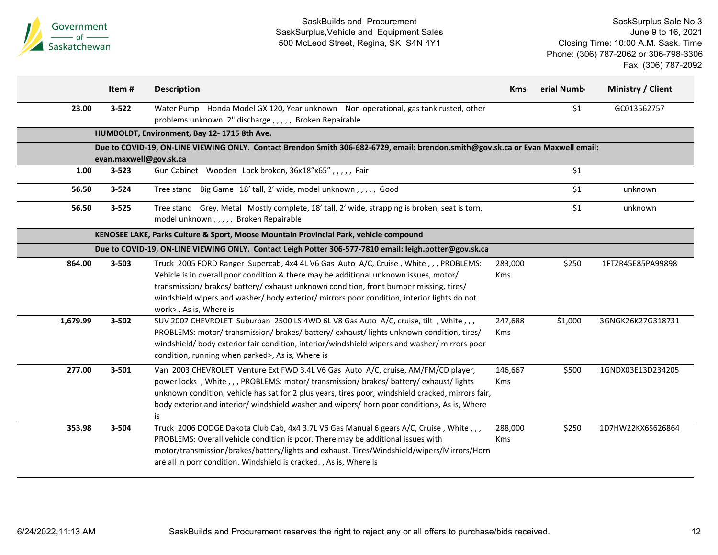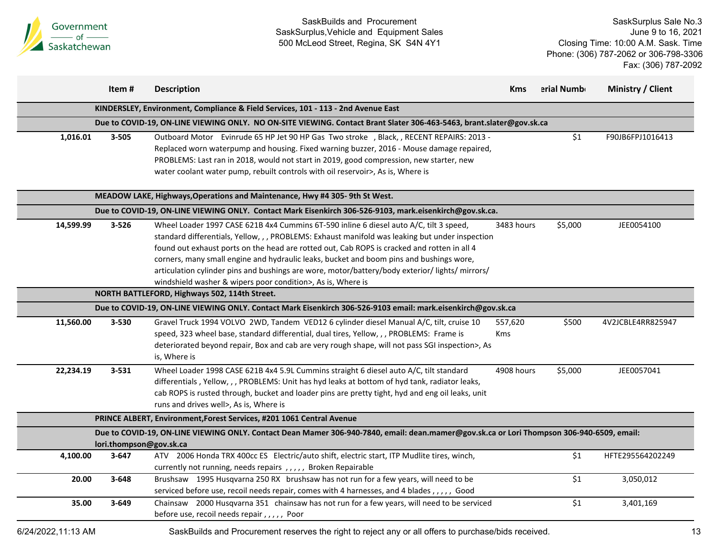

|                    | Item #    | <b>Description</b>                                                                                                                                                                                                                                                                                                                                                                                                                                                                                                                                    | Kms                   | erial Numb | Ministry / Client |
|--------------------|-----------|-------------------------------------------------------------------------------------------------------------------------------------------------------------------------------------------------------------------------------------------------------------------------------------------------------------------------------------------------------------------------------------------------------------------------------------------------------------------------------------------------------------------------------------------------------|-----------------------|------------|-------------------|
|                    |           | KINDERSLEY, Environment, Compliance & Field Services, 101 - 113 - 2nd Avenue East                                                                                                                                                                                                                                                                                                                                                                                                                                                                     |                       |            |                   |
|                    |           | Due to COVID-19, ON-LINE VIEWING ONLY. NO ON-SITE VIEWING. Contact Brant Slater 306-463-5463, brant.slater@gov.sk.ca                                                                                                                                                                                                                                                                                                                                                                                                                                  |                       |            |                   |
| 1,016.01           | 3-505     | Outboard Motor Evinrude 65 HP Jet 90 HP Gas Two stroke , Black, , RECENT REPAIRS: 2013 -<br>Replaced worn waterpump and housing. Fixed warning buzzer, 2016 - Mouse damage repaired,<br>PROBLEMS: Last ran in 2018, would not start in 2019, good compression, new starter, new<br>water coolant water pump, rebuilt controls with oil reservoir>, As is, Where is                                                                                                                                                                                    |                       | \$1        | F90JB6FPJ1016413  |
|                    |           | MEADOW LAKE, Highways, Operations and Maintenance, Hwy #4 305-9th St West.                                                                                                                                                                                                                                                                                                                                                                                                                                                                            |                       |            |                   |
|                    |           | Due to COVID-19, ON-LINE VIEWING ONLY. Contact Mark Eisenkirch 306-526-9103, mark.eisenkirch@gov.sk.ca.                                                                                                                                                                                                                                                                                                                                                                                                                                               |                       |            |                   |
| 14,599.99          | $3 - 526$ | Wheel Loader 1997 CASE 621B 4x4 Cummins 6T-590 inline 6 diesel auto A/C, tilt 3 speed,<br>standard differentials, Yellow, , , PROBLEMS: Exhaust manifold was leaking but under inspection<br>found out exhaust ports on the head are rotted out, Cab ROPS is cracked and rotten in all 4<br>corners, many small engine and hydraulic leaks, bucket and boom pins and bushings wore,<br>articulation cylinder pins and bushings are wore, motor/battery/body exterior/ lights/ mirrors/<br>windshield washer & wipers poor condition>, As is, Where is | 3483 hours            | \$5,000    | JEE0054100        |
|                    |           | NORTH BATTLEFORD, Highways 502, 114th Street.                                                                                                                                                                                                                                                                                                                                                                                                                                                                                                         |                       |            |                   |
|                    |           | Due to COVID-19, ON-LINE VIEWING ONLY. Contact Mark Eisenkirch 306-526-9103 email: mark.eisenkirch@gov.sk.ca                                                                                                                                                                                                                                                                                                                                                                                                                                          |                       |            |                   |
| 11,560.00          | 3-530     | Gravel Truck 1994 VOLVO 2WD, Tandem VED12 6 cylinder diesel Manual A/C, tilt, cruise 10<br>speed, 323 wheel base, standard differential, dual tires, Yellow, , , PROBLEMS: Frame is<br>deteriorated beyond repair, Box and cab are very rough shape, will not pass SGI inspection>, As<br>is, Where is                                                                                                                                                                                                                                                | 557,620<br><b>Kms</b> | \$500      | 4V2JCBLE4RR825947 |
| 22,234.19          | $3 - 531$ | Wheel Loader 1998 CASE 621B 4x4 5.9L Cummins straight 6 diesel auto A/C, tilt standard<br>differentials, Yellow,,, PROBLEMS: Unit has hyd leaks at bottom of hyd tank, radiator leaks,<br>cab ROPS is rusted through, bucket and loader pins are pretty tight, hyd and eng oil leaks, unit<br>runs and drives well>, As is, Where is                                                                                                                                                                                                                  | 4908 hours            | \$5,000    | JEE0057041        |
|                    |           | PRINCE ALBERT, Environment, Forest Services, #201 1061 Central Avenue                                                                                                                                                                                                                                                                                                                                                                                                                                                                                 |                       |            |                   |
|                    |           | Due to COVID-19, ON-LINE VIEWING ONLY. Contact Dean Mamer 306-940-7840, email: dean.mamer@gov.sk.ca or Lori Thompson 306-940-6509, email:<br>lori.thompson@gov.sk.ca                                                                                                                                                                                                                                                                                                                                                                                  |                       |            |                   |
| 4,100.00           | $3 - 647$ | ATV 2006 Honda TRX 400cc ES Electric/auto shift, electric start, ITP Mudlite tires, winch,<br>currently not running, needs repairs, ,,,,, Broken Repairable                                                                                                                                                                                                                                                                                                                                                                                           |                       | \$1        | HFTE295564202249  |
| 20.00              | $3 - 648$ | Brushsaw 1995 Husqvarna 250 RX brushsaw has not run for a few years, will need to be<br>serviced before use, recoil needs repair, comes with 4 harnesses, and 4 blades,,,,,, Good                                                                                                                                                                                                                                                                                                                                                                     |                       | \$1        | 3,050,012         |
| 35.00              | $3 - 649$ | Chainsaw 2000 Husqvarna 351 chainsaw has not run for a few years, will need to be serviced<br>before use, recoil needs repair,,,,, Poor                                                                                                                                                                                                                                                                                                                                                                                                               |                       | \$1        | 3,401,169         |
| 6/24/2022.11:13 AM |           | SaskBuilds and Procurement reserves the right to reject any or all offers to purchase/bids received.                                                                                                                                                                                                                                                                                                                                                                                                                                                  |                       |            |                   |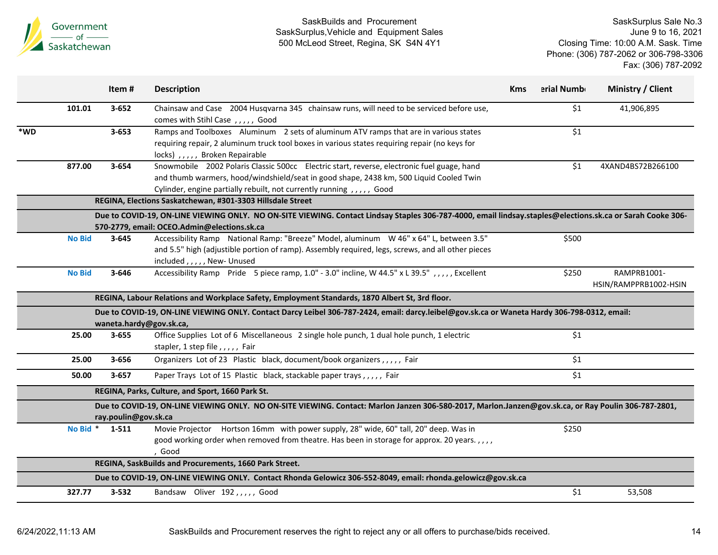

|     |               | Item#                | <b>Description</b>                                                                                                                                                                                                                                           | <b>Kms</b> | erial Numb | <b>Ministry / Client</b>             |
|-----|---------------|----------------------|--------------------------------------------------------------------------------------------------------------------------------------------------------------------------------------------------------------------------------------------------------------|------------|------------|--------------------------------------|
|     | 101.01        | $3 - 652$            | Chainsaw and Case 2004 Husqvarna 345 chainsaw runs, will need to be serviced before use,<br>comes with Stihl Case, ,,,,, Good                                                                                                                                |            | \$1        | 41,906,895                           |
| *WD |               | $3 - 653$            | Ramps and Toolboxes Aluminum 2 sets of aluminum ATV ramps that are in various states<br>requiring repair, 2 aluminum truck tool boxes in various states requiring repair (no keys for<br>locks),,,,, Broken Repairable                                       |            | \$1        |                                      |
|     | 877.00        | 3-654                | Snowmobile 2002 Polaris Classic 500cc Electric start, reverse, electronic fuel guage, hand<br>and thumb warmers, hood/windshield/seat in good shape, 2438 km, 500 Liquid Cooled Twin<br>Cylinder, engine partially rebuilt, not currently running,,,,,, Good |            | \$1        | 4XAND4BS72B266100                    |
|     |               |                      | REGINA, Elections Saskatchewan, #301-3303 Hillsdale Street                                                                                                                                                                                                   |            |            |                                      |
|     |               |                      | Due to COVID-19, ON-LINE VIEWING ONLY. NO ON-SITE VIEWING. Contact Lindsay Staples 306-787-4000, email lindsay.staples@elections.sk.ca or Sarah Cooke 306-<br>570-2779, email: OCEO.Admin@elections.sk.ca                                                    |            |            |                                      |
|     | <b>No Bid</b> | $3 - 645$            | Accessibility Ramp National Ramp: "Breeze" Model, aluminum W 46" x 64" L, between 3.5"<br>and 5.5" high (adjustible portion of ramp). Assembly required, legs, screws, and all other pieces<br>included, , , , , New- Unused                                 |            | \$500      |                                      |
|     | <b>No Bid</b> | 3-646                | Accessibility Ramp Pride 5 piece ramp, 1.0" - 3.0" incline, W 44.5" x L 39.5",,,,, Excellent                                                                                                                                                                 |            | \$250      | RAMPRB1001-<br>HSIN/RAMPPRB1002-HSIN |
|     |               |                      | REGINA, Labour Relations and Workplace Safety, Employment Standards, 1870 Albert St, 3rd floor.                                                                                                                                                              |            |            |                                      |
|     |               |                      | Due to COVID-19, ON-LINE VIEWING ONLY. Contact Darcy Leibel 306-787-2424, email: darcy.leibel@gov.sk.ca or Waneta Hardy 306-798-0312, email:<br>waneta.hardy@gov.sk.ca,                                                                                      |            |            |                                      |
|     | 25.00         | $3 - 655$            | Office Supplies Lot of 6 Miscellaneous 2 single hole punch, 1 dual hole punch, 1 electric<br>stapler, 1 step file,,,,, Fair                                                                                                                                  |            | \$1        |                                      |
|     | 25.00         | 3-656                | Organizers Lot of 23 Plastic black, document/book organizers,,,,, Fair                                                                                                                                                                                       |            | \$1        |                                      |
|     | 50.00         | $3 - 657$            | Paper Trays Lot of 15 Plastic black, stackable paper trays,,,,, Fair                                                                                                                                                                                         |            | \$1        |                                      |
|     |               |                      | REGINA, Parks, Culture, and Sport, 1660 Park St.                                                                                                                                                                                                             |            |            |                                      |
|     |               | ray.poulin@gov.sk.ca | Due to COVID-19, ON-LINE VIEWING ONLY. NO ON-SITE VIEWING. Contact: Marlon Janzen 306-580-2017, Marlon.Janzen@gov.sk.ca, or Ray Poulin 306-787-2801,                                                                                                         |            |            |                                      |
|     | No Bid *      | 1-511                | Movie Projector Hortson 16mm with power supply, 28" wide, 60" tall, 20" deep. Was in<br>good working order when removed from theatre. Has been in storage for approx. 20 years.,,,,<br>Good                                                                  |            | \$250      |                                      |
|     |               |                      | REGINA, SaskBuilds and Procurements, 1660 Park Street.                                                                                                                                                                                                       |            |            |                                      |
|     |               |                      | Due to COVID-19, ON-LINE VIEWING ONLY. Contact Rhonda Gelowicz 306-552-8049, email: rhonda.gelowicz@gov.sk.ca                                                                                                                                                |            |            |                                      |
|     | 327.77        | 3-532                | Bandsaw Oliver 192,,,,, Good                                                                                                                                                                                                                                 |            | \$1        | 53,508                               |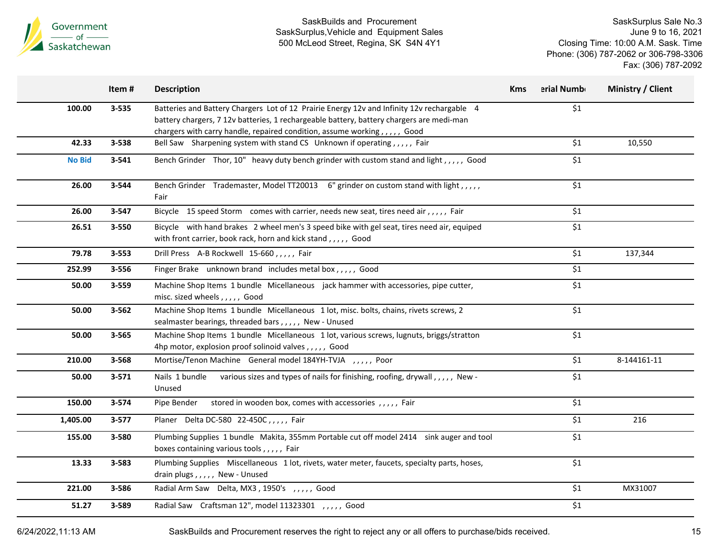

SaskSurplus Sale No.3 June 9 to 16, 2021 Closing Time: 10:00 A.M. Sask. Time Phone: (306) 787-2062 or 306-798-3306 Fax: (306) 787-2092

|               | Item#     | <b>Description</b>                                                                                                                                                                                                                                                  | <b>Kms</b> | erial Numb | Ministry / Client |
|---------------|-----------|---------------------------------------------------------------------------------------------------------------------------------------------------------------------------------------------------------------------------------------------------------------------|------------|------------|-------------------|
| 100.00        | $3 - 535$ | Batteries and Battery Chargers Lot of 12 Prairie Energy 12v and Infinity 12v rechargable 4<br>battery chargers, 7 12v batteries, 1 rechargeable battery, battery chargers are medi-man<br>chargers with carry handle, repaired condition, assume working,,,,,, Good |            | $$1$$      |                   |
| 42.33         | $3 - 538$ | Bell Saw Sharpening system with stand CS Unknown if operating,,,,, Fair                                                                                                                                                                                             |            | \$1        | 10,550            |
| <b>No Bid</b> | $3 - 541$ | Bench Grinder Thor, 10" heavy duty bench grinder with custom stand and light, , , , , Good                                                                                                                                                                          |            | \$1        |                   |
| 26.00         | 3-544     | Bench Grinder Trademaster, Model TT20013 6" grinder on custom stand with light,,,,,<br>Fair                                                                                                                                                                         |            | \$1        |                   |
| 26.00         | $3 - 547$ | Bicycle 15 speed Storm comes with carrier, needs new seat, tires need air,,,,, Fair                                                                                                                                                                                 |            | \$1        |                   |
| 26.51         | 3-550     | Bicycle with hand brakes 2 wheel men's 3 speed bike with gel seat, tires need air, equiped<br>with front carrier, book rack, horn and kick stand,,,,, Good                                                                                                          |            | \$1        |                   |
| 79.78         | $3 - 553$ | Drill Press A-B Rockwell 15-660,,,,, Fair                                                                                                                                                                                                                           |            | \$1        | 137,344           |
| 252.99        | 3-556     | Finger Brake unknown brand includes metal box,,,,, Good                                                                                                                                                                                                             |            | \$1        |                   |
| 50.00         | $3 - 559$ | Machine Shop Items 1 bundle Micellaneous jack hammer with accessories, pipe cutter,<br>misc. sized wheels , , , , , Good                                                                                                                                            |            | \$1        |                   |
| 50.00         | $3 - 562$ | Machine Shop Items 1 bundle Micellaneous 1 lot, misc. bolts, chains, rivets screws, 2<br>sealmaster bearings, threaded bars,,,,, New - Unused                                                                                                                       |            | \$1        |                   |
| 50.00         | 3-565     | Machine Shop Items 1 bundle Micellaneous 1 lot, various screws, lugnuts, briggs/stratton<br>4hp motor, explosion proof solinoid valves,,,,,, Good                                                                                                                   |            | \$1        |                   |
| 210.00        | 3-568     | Mortise/Tenon Machine General model 184YH-TVJA ,,,,, Poor                                                                                                                                                                                                           |            | \$1        | 8-144161-11       |
| 50.00         | $3 - 571$ | Nails 1 bundle<br>various sizes and types of nails for finishing, roofing, drywall,,,,, New -<br>Unused                                                                                                                                                             |            | \$1        |                   |
| 150.00        | 3-574     | stored in wooden box, comes with accessories,,,,,, Fair<br>Pipe Bender                                                                                                                                                                                              |            | \$1        |                   |
| 1,405.00      | $3 - 577$ | Planer Delta DC-580 22-450C,,,,, Fair                                                                                                                                                                                                                               |            | $$1$$      | 216               |
| 155.00        | 3-580     | Plumbing Supplies 1 bundle Makita, 355mm Portable cut off model 2414 sink auger and tool<br>boxes containing various tools,,,,, Fair                                                                                                                                |            | \$1        |                   |
| 13.33         | 3-583     | Plumbing Supplies Miscellaneous 1 lot, rivets, water meter, faucets, specialty parts, hoses,<br>drain plugs,,,,,, New - Unused                                                                                                                                      |            | \$1        |                   |
| 221.00        | 3-586     | Radial Arm Saw Delta, MX3, 1950's ,,,,, Good                                                                                                                                                                                                                        |            | \$1        | MX31007           |
| 51.27         | 3-589     | Radial Saw Craftsman 12", model 11323301 ,,,,, Good                                                                                                                                                                                                                 |            | \$1        |                   |

6/24/2022,11:13 AM SaskBuilds and Procurement reserves the right to reject any or all offers to purchase/bids received. 15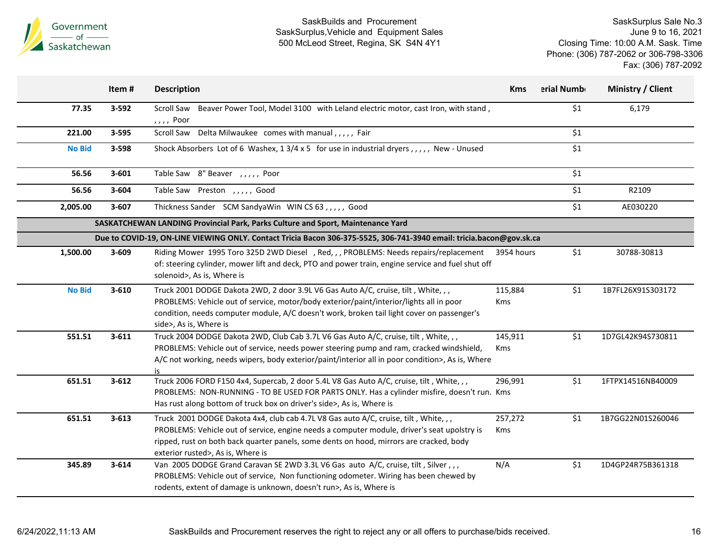

|               | Item#     | <b>Description</b>                                                                                                                                                                                                                                                                                                 | <b>Kms</b>     | erial Numb | Ministry / Client |
|---------------|-----------|--------------------------------------------------------------------------------------------------------------------------------------------------------------------------------------------------------------------------------------------------------------------------------------------------------------------|----------------|------------|-------------------|
| 77.35         | 3-592     | Scroll Saw Beaver Power Tool, Model 3100 with Leland electric motor, cast Iron, with stand,<br>,,,, Poor                                                                                                                                                                                                           |                | \$1        | 6,179             |
| 221.00        | 3-595     | Scroll Saw Delta Milwaukee comes with manual,,,,, Fair                                                                                                                                                                                                                                                             |                | \$1        |                   |
| <b>No Bid</b> | 3-598     | Shock Absorbers Lot of 6 Washex, 13/4 x 5 for use in industrial dryers, ,,,,, New - Unused                                                                                                                                                                                                                         |                | \$1        |                   |
| 56.56         | $3 - 601$ | Table Saw 8" Beaver, , , , , , Poor                                                                                                                                                                                                                                                                                |                | \$1        |                   |
| 56.56         | $3 - 604$ | Table Saw Preston, , , , , Good                                                                                                                                                                                                                                                                                    |                | \$1        | R2109             |
| 2,005.00      | 3-607     | Thickness Sander SCM SandyaWin WIN CS 63,,,,,, Good                                                                                                                                                                                                                                                                |                | \$1        | AE030220          |
|               |           | SASKATCHEWAN LANDING Provincial Park, Parks Culture and Sport, Maintenance Yard                                                                                                                                                                                                                                    |                |            |                   |
|               |           | Due to COVID-19, ON-LINE VIEWING ONLY. Contact Tricia Bacon 306-375-5525, 306-741-3940 email: tricia.bacon@gov.sk.ca                                                                                                                                                                                               |                |            |                   |
| 1,500.00      | 3-609     | Riding Mower 1995 Toro 325D 2WD Diesel , Red, , , PROBLEMS: Needs repairs/replacement<br>of: steering cylinder, mower lift and deck, PTO and power train, engine service and fuel shut off<br>solenoid>, As is, Where is                                                                                           | 3954 hours     | \$1        | 30788-30813       |
| <b>No Bid</b> | $3 - 610$ | Truck 2001 DODGE Dakota 2WD, 2 door 3.9L V6 Gas Auto A/C, cruise, tilt, White, ,,<br>PROBLEMS: Vehicle out of service, motor/body exterior/paint/interior/lights all in poor<br>condition, needs computer module, A/C doesn't work, broken tail light cover on passenger's<br>side>, As is, Where is               | 115,884<br>Kms | \$1        | 1B7FL26X91S303172 |
| 551.51        | $3 - 611$ | Truck 2004 DODGE Dakota 2WD, Club Cab 3.7L V6 Gas Auto A/C, cruise, tilt, White,,,<br>PROBLEMS: Vehicle out of service, needs power steering pump and ram, cracked windshield,<br>A/C not working, needs wipers, body exterior/paint/interior all in poor condition>, As is, Where<br>is                           | 145,911<br>Kms | \$1        | 1D7GL42K94S730811 |
| 651.51        | $3 - 612$ | Truck 2006 FORD F150 4x4, Supercab, 2 door 5.4L V8 Gas Auto A/C, cruise, tilt, White,,,<br>PROBLEMS: NON-RUNNING - TO BE USED FOR PARTS ONLY. Has a cylinder misfire, doesn't run. Kms<br>Has rust along bottom of truck box on driver's side>, As is, Where is                                                    | 296,991        | \$1        | 1FTPX14516NB40009 |
| 651.51        | $3 - 613$ | Truck 2001 DODGE Dakota 4x4, club cab 4.7L V8 Gas auto A/C, cruise, tilt, White, ,,<br>PROBLEMS: Vehicle out of service, engine needs a computer module, driver's seat upolstry is<br>ripped, rust on both back quarter panels, some dents on hood, mirrors are cracked, body<br>exterior rusted>, As is, Where is | 257,272<br>Kms | \$1        | 1B7GG22N01S260046 |
| 345.89        | $3 - 614$ | Van 2005 DODGE Grand Caravan SE 2WD 3.3L V6 Gas auto A/C, cruise, tilt, Silver,,,<br>PROBLEMS: Vehicle out of service, Non functioning odometer. Wiring has been chewed by<br>rodents, extent of damage is unknown, doesn't run>, As is, Where is                                                                  | N/A            | \$1        | 1D4GP24R75B361318 |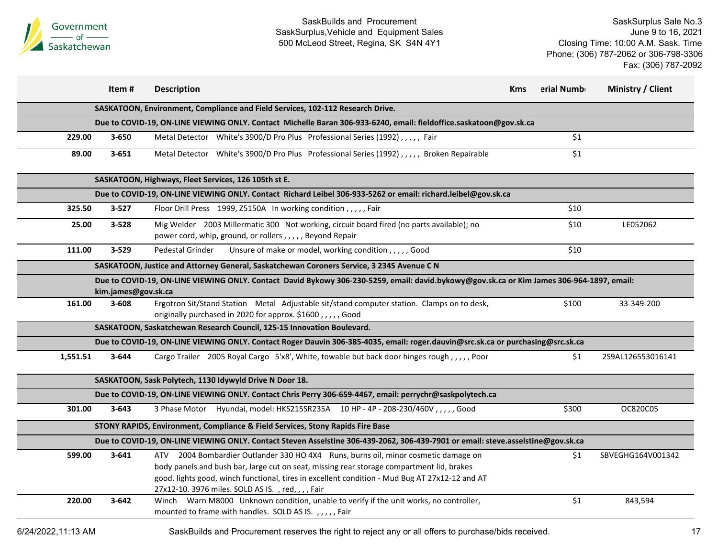

|                    | Item#               | <b>Description</b>                                                                                                                                                                                                                                                                                                                    | Kms | erial Numb | Ministry / Client |
|--------------------|---------------------|---------------------------------------------------------------------------------------------------------------------------------------------------------------------------------------------------------------------------------------------------------------------------------------------------------------------------------------|-----|------------|-------------------|
|                    |                     | SASKATOON, Environment, Compliance and Field Services, 102-112 Research Drive.                                                                                                                                                                                                                                                        |     |            |                   |
|                    |                     | Due to COVID-19, ON-LINE VIEWING ONLY. Contact Michelle Baran 306-933-6240, email: fieldoffice.saskatoon@gov.sk.ca                                                                                                                                                                                                                    |     |            |                   |
| 229.00             | $3 - 650$           | Metal Detector White's 3900/D Pro Plus Professional Series (1992),,,,, Fair                                                                                                                                                                                                                                                           |     | \$1        |                   |
| 89.00              | $3 - 651$           | Metal Detector White's 3900/D Pro Plus Professional Series (1992), , , , , Broken Repairable                                                                                                                                                                                                                                          |     | \$1        |                   |
|                    |                     | SASKATOON, Highways, Fleet Services, 126 105th st E.                                                                                                                                                                                                                                                                                  |     |            |                   |
|                    |                     | Due to COVID-19, ON-LINE VIEWING ONLY. Contact Richard Leibel 306-933-5262 or email: richard.leibel@gov.sk.ca                                                                                                                                                                                                                         |     |            |                   |
| 325.50             | $3 - 527$           | Floor Drill Press 1999, Z5150A In working condition, , , , , Fair                                                                                                                                                                                                                                                                     |     | \$10       |                   |
| 25.00              | $3 - 528$           | Mig Welder 2003 Millermatic 300 Not working, circuit board fired (no parts available); no<br>power cord, whip, ground, or rollers,,,,, Beyond Repair                                                                                                                                                                                  |     | \$10       | LE052062          |
| 111.00             | 3-529               | Pedestal Grinder<br>Unsure of make or model, working condition,,,,,Good                                                                                                                                                                                                                                                               |     | \$10       |                   |
|                    |                     | SASKATOON, Justice and Attorney General, Saskatchewan Coroners Service, 3 2345 Avenue C N                                                                                                                                                                                                                                             |     |            |                   |
|                    | kim.james@gov.sk.ca | Due to COVID-19, ON-LINE VIEWING ONLY. Contact David Bykowy 306-230-5259, email: david.bykowy@gov.sk.ca or Kim James 306-964-1897, email:                                                                                                                                                                                             |     |            |                   |
| 161.00             | $3 - 608$           | Ergotron Sit/Stand Station Metal Adjustable sit/stand computer station. Clamps on to desk,<br>originally purchased in 2020 for approx. \$1600,,,,,,Good                                                                                                                                                                               |     | \$100      | 33-349-200        |
|                    |                     | SASKATOON, Saskatchewan Research Council, 125-15 Innovation Boulevard.                                                                                                                                                                                                                                                                |     |            |                   |
|                    |                     | Due to COVID-19, ON-LINE VIEWING ONLY. Contact Roger Dauvin 306-385-4035, email: roger.dauvin@src.sk.ca or purchasing@src.sk.ca                                                                                                                                                                                                       |     |            |                   |
| 1,551.51           | 3-644               | Cargo Trailer 2005 Royal Cargo 5'x8', White, towable but back door hinges rough,,,,,,Poor                                                                                                                                                                                                                                             |     | \$1        | 2S9AL126553016141 |
|                    |                     | SASKATOON, Sask Polytech, 1130 Idywyld Drive N Door 18.                                                                                                                                                                                                                                                                               |     |            |                   |
|                    |                     | Due to COVID-19, ON-LINE VIEWING ONLY. Contact Chris Perry 306-659-4467, email: perrychr@saskpolytech.ca                                                                                                                                                                                                                              |     |            |                   |
| 301.00             | $3 - 643$           | 3 Phase Motor Hyundai, model: HKS215SR235A 10 HP - 4P - 208-230/460V,,,,,Good                                                                                                                                                                                                                                                         |     | \$300      | OC820C05          |
|                    |                     | STONY RAPIDS, Environment, Compliance & Field Services, Stony Rapids Fire Base                                                                                                                                                                                                                                                        |     |            |                   |
|                    |                     | Due to COVID-19, ON-LINE VIEWING ONLY. Contact Steven Asselstine 306-439-2062, 306-439-7901 or email: steve.asselstine@gov.sk.ca                                                                                                                                                                                                      |     |            |                   |
| 599.00             | $3 - 641$           | ATV 2004 Bombardier Outlander 330 HO 4X4 Runs, burns oil, minor cosmetic damage on<br>body panels and bush bar, large cut on seat, missing rear storage compartment lid, brakes<br>good. lights good, winch functional, tires in excellent condition - Mud Bug AT 27x12-12 and AT<br>27x12-10. 3976 miles. SOLD AS IS., red, ,,, Fair |     | \$1        | SBVEGHG164V001342 |
| 220.00             | $3 - 642$           | Winch Warn M8000 Unknown condition, unable to verify if the unit works, no controller,<br>mounted to frame with handles. SOLD AS IS.,,,,,Fair                                                                                                                                                                                         |     | \$1        | 843,594           |
| 6/24/2022,11:13 AM |                     | SaskBuilds and Procurement reserves the right to reject any or all offers to purchase/bids received.                                                                                                                                                                                                                                  |     |            |                   |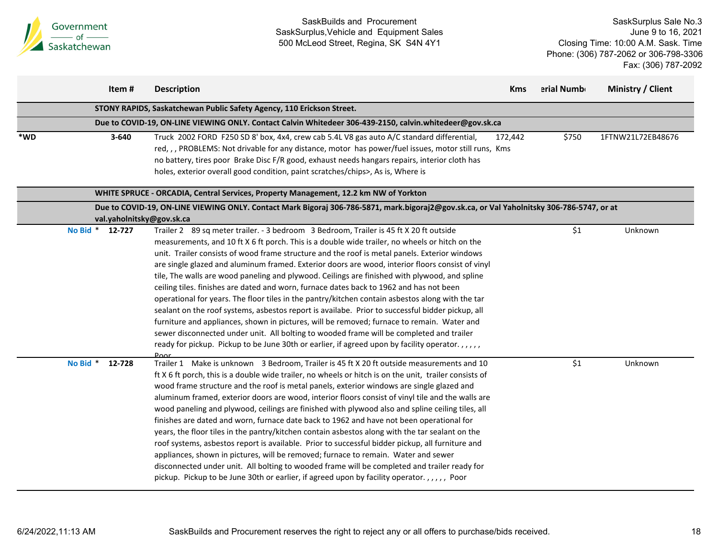

|                             |          | Item #    | <b>Description</b>                                                                                                                                                                                                                                                                                                                                                                                                                                                                                                                                                                                                                                                                                                                                                                                                                                                                                                                                                                                                                                                                                             | <b>Kms</b> | erial Numb | Ministry / Client |
|-----------------------------|----------|-----------|----------------------------------------------------------------------------------------------------------------------------------------------------------------------------------------------------------------------------------------------------------------------------------------------------------------------------------------------------------------------------------------------------------------------------------------------------------------------------------------------------------------------------------------------------------------------------------------------------------------------------------------------------------------------------------------------------------------------------------------------------------------------------------------------------------------------------------------------------------------------------------------------------------------------------------------------------------------------------------------------------------------------------------------------------------------------------------------------------------------|------------|------------|-------------------|
|                             |          |           | STONY RAPIDS, Saskatchewan Public Safety Agency, 110 Erickson Street.                                                                                                                                                                                                                                                                                                                                                                                                                                                                                                                                                                                                                                                                                                                                                                                                                                                                                                                                                                                                                                          |            |            |                   |
|                             |          |           | Due to COVID-19, ON-LINE VIEWING ONLY. Contact Calvin Whitedeer 306-439-2150, calvin.whitedeer@gov.sk.ca                                                                                                                                                                                                                                                                                                                                                                                                                                                                                                                                                                                                                                                                                                                                                                                                                                                                                                                                                                                                       |            |            |                   |
| $\boldsymbol{*}\mathsf{WD}$ |          | $3 - 640$ | Truck 2002 FORD F250 SD 8' box, 4x4, crew cab 5.4L V8 gas auto A/C standard differential,<br>red, , , PROBLEMS: Not drivable for any distance, motor has power/fuel issues, motor still runs, Kms<br>no battery, tires poor Brake Disc F/R good, exhaust needs hangars repairs, interior cloth has<br>holes, exterior overall good condition, paint scratches/chips>, As is, Where is                                                                                                                                                                                                                                                                                                                                                                                                                                                                                                                                                                                                                                                                                                                          | 172,442    | \$750      | 1FTNW21L72EB48676 |
|                             |          |           | WHITE SPRUCE - ORCADIA, Central Services, Property Management, 12.2 km NW of Yorkton                                                                                                                                                                                                                                                                                                                                                                                                                                                                                                                                                                                                                                                                                                                                                                                                                                                                                                                                                                                                                           |            |            |                   |
|                             |          |           | Due to COVID-19, ON-LINE VIEWING ONLY. Contact Mark Bigoraj 306-786-5871, mark.bigoraj2@gov.sk.ca, or Val Yaholnitsky 306-786-5747, or at<br>val.yaholnitsky@gov.sk.ca                                                                                                                                                                                                                                                                                                                                                                                                                                                                                                                                                                                                                                                                                                                                                                                                                                                                                                                                         |            |            |                   |
|                             | No Bid * | 12-727    | Trailer 2 89 sq meter trailer. - 3 bedroom 3 Bedroom, Trailer is 45 ft X 20 ft outside<br>measurements, and 10 ft X 6 ft porch. This is a double wide trailer, no wheels or hitch on the<br>unit. Trailer consists of wood frame structure and the roof is metal panels. Exterior windows<br>are single glazed and aluminum framed. Exterior doors are wood, interior floors consist of vinyl<br>tile, The walls are wood paneling and plywood. Ceilings are finished with plywood, and spline<br>ceiling tiles. finishes are dated and worn, furnace dates back to 1962 and has not been<br>operational for years. The floor tiles in the pantry/kitchen contain asbestos along with the tar<br>sealant on the roof systems, asbestos report is availabe. Prior to successful bidder pickup, all<br>furniture and appliances, shown in pictures, will be removed; furnace to remain. Water and<br>sewer disconnected under unit. All bolting to wooded frame will be completed and trailer<br>ready for pickup. Pickup to be June 30th or earlier, if agreed upon by facility operator.,,,,,                  |            | \$1        | Unknown           |
|                             | No Bid * | 12-728    | <b>Door</b><br>Trailer 1 Make is unknown 3 Bedroom, Trailer is 45 ft X 20 ft outside measurements and 10<br>ft X 6 ft porch, this is a double wide trailer, no wheels or hitch is on the unit, trailer consists of<br>wood frame structure and the roof is metal panels, exterior windows are single glazed and<br>aluminum framed, exterior doors are wood, interior floors consist of vinyl tile and the walls are<br>wood paneling and plywood, ceilings are finished with plywood also and spline ceiling tiles, all<br>finishes are dated and worn, furnace date back to 1962 and have not been operational for<br>years, the floor tiles in the pantry/kitchen contain asbestos along with the tar sealant on the<br>roof systems, asbestos report is available. Prior to successful bidder pickup, all furniture and<br>appliances, shown in pictures, will be removed; furnace to remain. Water and sewer<br>disconnected under unit. All bolting to wooded frame will be completed and trailer ready for<br>pickup. Pickup to be June 30th or earlier, if agreed upon by facility operator.,,,,, Poor |            | \$1        | Unknown           |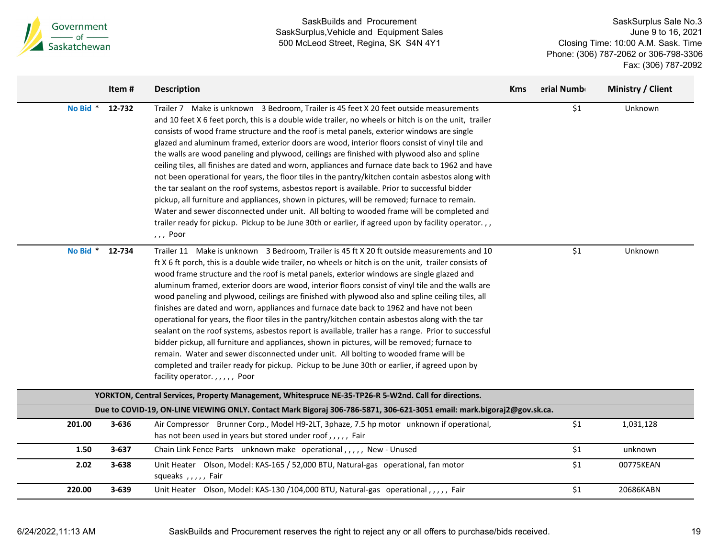

|          | Item#     | <b>Description</b>                                                                                                                                                                                                                                                                                                                                                                                                                                                                                                                                                                                                                                                                                                                                                                                                                                                                                                                                                                                                                                                                                                                      | <b>Kms</b> | erial Numb | Ministry / Client |
|----------|-----------|-----------------------------------------------------------------------------------------------------------------------------------------------------------------------------------------------------------------------------------------------------------------------------------------------------------------------------------------------------------------------------------------------------------------------------------------------------------------------------------------------------------------------------------------------------------------------------------------------------------------------------------------------------------------------------------------------------------------------------------------------------------------------------------------------------------------------------------------------------------------------------------------------------------------------------------------------------------------------------------------------------------------------------------------------------------------------------------------------------------------------------------------|------------|------------|-------------------|
| No Bid * | 12-732    | Trailer 7 Make is unknown 3 Bedroom, Trailer is 45 feet X 20 feet outside measurements<br>and 10 feet X 6 feet porch, this is a double wide trailer, no wheels or hitch is on the unit, trailer<br>consists of wood frame structure and the roof is metal panels, exterior windows are single<br>glazed and aluminum framed, exterior doors are wood, interior floors consist of vinyl tile and<br>the walls are wood paneling and plywood, ceilings are finished with plywood also and spline<br>ceiling tiles, all finishes are dated and worn, appliances and furnace date back to 1962 and have<br>not been operational for years, the floor tiles in the pantry/kitchen contain asbestos along with<br>the tar sealant on the roof systems, asbestos report is available. Prior to successful bidder<br>pickup, all furniture and appliances, shown in pictures, will be removed; furnace to remain.<br>Water and sewer disconnected under unit. All bolting to wooded frame will be completed and<br>trailer ready for pickup. Pickup to be June 30th or earlier, if agreed upon by facility operator.,,<br>$,$ , Poor            |            | \$1        | Unknown           |
| No Bid * | 12-734    | Trailer 11 Make is unknown 3 Bedroom, Trailer is 45 ft X 20 ft outside measurements and 10<br>ft X 6 ft porch, this is a double wide trailer, no wheels or hitch is on the unit, trailer consists of<br>wood frame structure and the roof is metal panels, exterior windows are single glazed and<br>aluminum framed, exterior doors are wood, interior floors consist of vinyl tile and the walls are<br>wood paneling and plywood, ceilings are finished with plywood also and spline ceiling tiles, all<br>finishes are dated and worn, appliances and furnace date back to 1962 and have not been<br>operational for years, the floor tiles in the pantry/kitchen contain asbestos along with the tar<br>sealant on the roof systems, asbestos report is available, trailer has a range. Prior to successful<br>bidder pickup, all furniture and appliances, shown in pictures, will be removed; furnace to<br>remain. Water and sewer disconnected under unit. All bolting to wooded frame will be<br>completed and trailer ready for pickup. Pickup to be June 30th or earlier, if agreed upon by<br>facility operator.,,,,, Poor |            | \$1        | Unknown           |
|          |           | YORKTON, Central Services, Property Management, Whitespruce NE-35-TP26-R 5-W2nd. Call for directions.                                                                                                                                                                                                                                                                                                                                                                                                                                                                                                                                                                                                                                                                                                                                                                                                                                                                                                                                                                                                                                   |            |            |                   |
|          |           | Due to COVID-19, ON-LINE VIEWING ONLY. Contact Mark Bigoraj 306-786-5871, 306-621-3051 email: mark.bigoraj2@gov.sk.ca.                                                                                                                                                                                                                                                                                                                                                                                                                                                                                                                                                                                                                                                                                                                                                                                                                                                                                                                                                                                                                  |            |            |                   |
| 201.00   | 3-636     | Air Compressor Brunner Corp., Model H9-2LT, 3phaze, 7.5 hp motor unknown if operational,<br>has not been used in years but stored under roof,,,,, Fair                                                                                                                                                                                                                                                                                                                                                                                                                                                                                                                                                                                                                                                                                                                                                                                                                                                                                                                                                                                  |            | \$1        | 1,031,128         |
| 1.50     | $3 - 637$ | Chain Link Fence Parts unknown make operational,,,,, New - Unused                                                                                                                                                                                                                                                                                                                                                                                                                                                                                                                                                                                                                                                                                                                                                                                                                                                                                                                                                                                                                                                                       |            | \$1        | unknown           |
| 2.02     | 3-638     | Unit Heater Olson, Model: KAS-165 / 52,000 BTU, Natural-gas operational, fan motor<br>squeaks , , , , , Fair                                                                                                                                                                                                                                                                                                                                                                                                                                                                                                                                                                                                                                                                                                                                                                                                                                                                                                                                                                                                                            |            | \$1        | 00775KEAN         |
| 220.00   | 3-639     | Unit Heater Olson, Model: KAS-130 /104,000 BTU, Natural-gas operational,,,,,, Fair                                                                                                                                                                                                                                                                                                                                                                                                                                                                                                                                                                                                                                                                                                                                                                                                                                                                                                                                                                                                                                                      |            | \$1        | 20686KABN         |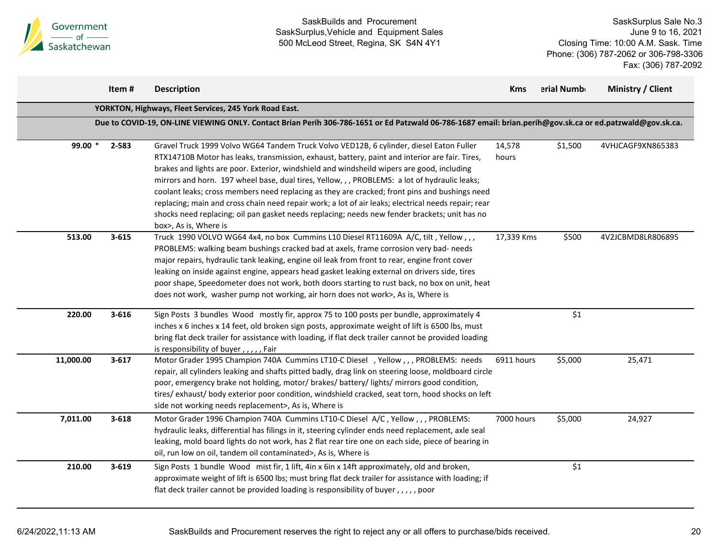

|           | Item#     | <b>Description</b>                                                                                                                                                                                                                                                                                                                                                                                                                                                                                                                                                                                                                                                                                                         | <b>Kms</b>      | erial Numb | Ministry / Client |
|-----------|-----------|----------------------------------------------------------------------------------------------------------------------------------------------------------------------------------------------------------------------------------------------------------------------------------------------------------------------------------------------------------------------------------------------------------------------------------------------------------------------------------------------------------------------------------------------------------------------------------------------------------------------------------------------------------------------------------------------------------------------------|-----------------|------------|-------------------|
|           |           | YORKTON, Highways, Fleet Services, 245 York Road East.                                                                                                                                                                                                                                                                                                                                                                                                                                                                                                                                                                                                                                                                     |                 |            |                   |
|           |           | Due to COVID-19, ON-LINE VIEWING ONLY. Contact Brian Perih 306-786-1651 or Ed Patzwald 06-786-1687 email: brian.perih@gov.sk.ca or ed.patzwald@gov.sk.ca.                                                                                                                                                                                                                                                                                                                                                                                                                                                                                                                                                                  |                 |            |                   |
| 99.00 $*$ | 2-583     | Gravel Truck 1999 Volvo WG64 Tandem Truck Volvo VED12B, 6 cylinder, diesel Eaton Fuller<br>RTX14710B Motor has leaks, transmission, exhaust, battery, paint and interior are fair. Tires,<br>brakes and lights are poor. Exterior, windshield and windsheild wipers are good, including<br>mirrors and horn. 197 wheel base, dual tires, Yellow, , , PROBLEMS: a lot of hydraulic leaks;<br>coolant leaks; cross members need replacing as they are cracked; front pins and bushings need<br>replacing; main and cross chain need repair work; a lot of air leaks; electrical needs repair; rear<br>shocks need replacing; oil pan gasket needs replacing; needs new fender brackets; unit has no<br>box>, As is, Where is | 14,578<br>hours | \$1,500    | 4VHJCAGF9XN865383 |
| 513.00    | $3 - 615$ | Truck 1990 VOLVO WG64 4x4, no box Cummins L10 Diesel RT11609A A/C, tilt, Yellow,,,<br>PROBLEMS: walking beam bushings cracked bad at axels, frame corrosion very bad- needs<br>major repairs, hydraulic tank leaking, engine oil leak from front to rear, engine front cover<br>leaking on inside against engine, appears head gasket leaking external on drivers side, tires<br>poor shape, Speedometer does not work, both doors starting to rust back, no box on unit, heat<br>does not work, washer pump not working, air horn does not work>, As is, Where is                                                                                                                                                         | 17,339 Kms      | \$500      | 4V2JCBMD8LR806895 |
| 220.00    | $3 - 616$ | Sign Posts 3 bundles Wood mostly fir, approx 75 to 100 posts per bundle, approximately 4<br>inches x 6 inches x 14 feet, old broken sign posts, approximate weight of lift is 6500 lbs, must<br>bring flat deck trailer for assistance with loading, if flat deck trailer cannot be provided loading<br>is responsibility of buyer,,,,,Fair                                                                                                                                                                                                                                                                                                                                                                                |                 | \$1        |                   |
| 11,000.00 | $3 - 617$ | Motor Grader 1995 Champion 740A Cummins LT10-C Diesel , Yellow,,, PROBLEMS: needs<br>repair, all cylinders leaking and shafts pitted badly, drag link on steering loose, moldboard circle<br>poor, emergency brake not holding, motor/ brakes/ battery/ lights/ mirrors good condition,<br>tires/ exhaust/ body exterior poor condition, windshield cracked, seat torn, hood shocks on left<br>side not working needs replacement>, As is, Where is                                                                                                                                                                                                                                                                        | 6911 hours      | \$5,000    | 25,471            |
| 7,011.00  | $3 - 618$ | Motor Grader 1996 Champion 740A Cummins LT10-C Diesel A/C, Yellow, ,, PROBLEMS:<br>hydraulic leaks, differential has filings in it, steering cylinder ends need replacement, axle seal<br>leaking, mold board lights do not work, has 2 flat rear tire one on each side, piece of bearing in<br>oil, run low on oil, tandem oil contaminated>, As is, Where is                                                                                                                                                                                                                                                                                                                                                             | 7000 hours      | \$5,000    | 24,927            |
| 210.00    | $3 - 619$ | Sign Posts 1 bundle Wood mist fir, 1 lift, 4in x 6in x 14ft approximately, old and broken,<br>approximate weight of lift is 6500 lbs; must bring flat deck trailer for assistance with loading; if<br>flat deck trailer cannot be provided loading is responsibility of buyer,,,,,poor                                                                                                                                                                                                                                                                                                                                                                                                                                     |                 | \$1        |                   |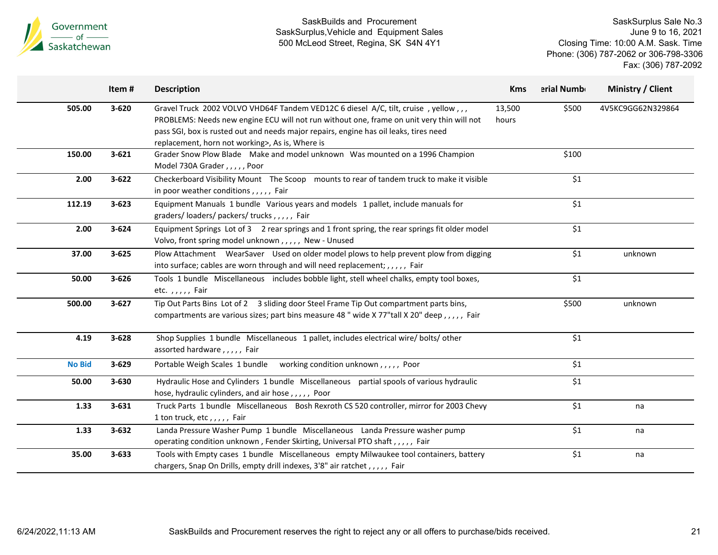

|               | Item#     | <b>Description</b>                                                                                                                                                                                                                                                                                                          | <b>Kms</b>      | erial Numb | Ministry / Client |
|---------------|-----------|-----------------------------------------------------------------------------------------------------------------------------------------------------------------------------------------------------------------------------------------------------------------------------------------------------------------------------|-----------------|------------|-------------------|
| 505.00        | $3 - 620$ | Gravel Truck 2002 VOLVO VHD64F Tandem VED12C 6 diesel A/C, tilt, cruise, yellow,,,<br>PROBLEMS: Needs new engine ECU will not run without one, frame on unit very thin will not<br>pass SGI, box is rusted out and needs major repairs, engine has oil leaks, tires need<br>replacement, horn not working>, As is, Where is | 13,500<br>hours | \$500      | 4V5KC9GG62N329864 |
| 150.00        | $3 - 621$ | Grader Snow Plow Blade Make and model unknown Was mounted on a 1996 Champion<br>Model 730A Grader,,,,,Poor                                                                                                                                                                                                                  |                 | \$100      |                   |
| 2.00          | $3 - 622$ | Checkerboard Visibility Mount The Scoop mounts to rear of tandem truck to make it visible<br>in poor weather conditions,,,,, Fair                                                                                                                                                                                           |                 | \$1        |                   |
| 112.19        | $3 - 623$ | Equipment Manuals 1 bundle Various years and models 1 pallet, include manuals for<br>graders/loaders/packers/trucks,,,,,Fair                                                                                                                                                                                                |                 | \$1        |                   |
| 2.00          | $3 - 624$ | Equipment Springs Lot of 3 2 rear springs and 1 front spring, the rear springs fit older model<br>Volvo, front spring model unknown,,,,, New - Unused                                                                                                                                                                       |                 | \$1        |                   |
| 37.00         | $3 - 625$ | Plow Attachment WearSaver Used on older model plows to help prevent plow from digging<br>into surface; cables are worn through and will need replacement; , , , , , Fair                                                                                                                                                    |                 | \$1        | unknown           |
| 50.00         | $3 - 626$ | Tools 1 bundle Miscellaneous includes bobble light, stell wheel chalks, empty tool boxes,<br>etc.,,,,, Fair                                                                                                                                                                                                                 |                 | \$1        |                   |
| 500.00        | $3 - 627$ | Tip Out Parts Bins Lot of 2 3 sliding door Steel Frame Tip Out compartment parts bins,<br>compartments are various sizes; part bins measure 48 " wide X 77"tall X 20" deep,,,,,, Fair                                                                                                                                       |                 | \$500      | unknown           |
| 4.19          | $3 - 628$ | Shop Supplies 1 bundle Miscellaneous 1 pallet, includes electrical wire/ bolts/ other<br>assorted hardware,,,,, Fair                                                                                                                                                                                                        |                 | $$1$$      |                   |
| <b>No Bid</b> | $3 - 629$ | Portable Weigh Scales 1 bundle working condition unknown,,,,, Poor                                                                                                                                                                                                                                                          |                 | \$1        |                   |
| 50.00         | $3 - 630$ | Hydraulic Hose and Cylinders 1 bundle Miscellaneous partial spools of various hydraulic<br>hose, hydraulic cylinders, and air hose, ,,,,, Poor                                                                                                                                                                              |                 | \$1        |                   |
| 1.33          | $3 - 631$ | Truck Parts 1 bundle Miscellaneous Bosh Rexroth CS 520 controller, mirror for 2003 Chevy<br>1 ton truck, etc,,,,, Fair                                                                                                                                                                                                      |                 | \$1        | na                |
| 1.33          | $3 - 632$ | Landa Pressure Washer Pump 1 bundle Miscellaneous Landa Pressure washer pump<br>operating condition unknown, Fender Skirting, Universal PTO shaft, ,,,, Fair                                                                                                                                                                |                 | \$1        | na                |
| 35.00         | $3 - 633$ | Tools with Empty cases 1 bundle Miscellaneous empty Milwaukee tool containers, battery<br>chargers, Snap On Drills, empty drill indexes, 3'8" air ratchet,,,,, Fair                                                                                                                                                         |                 | \$1        | na                |